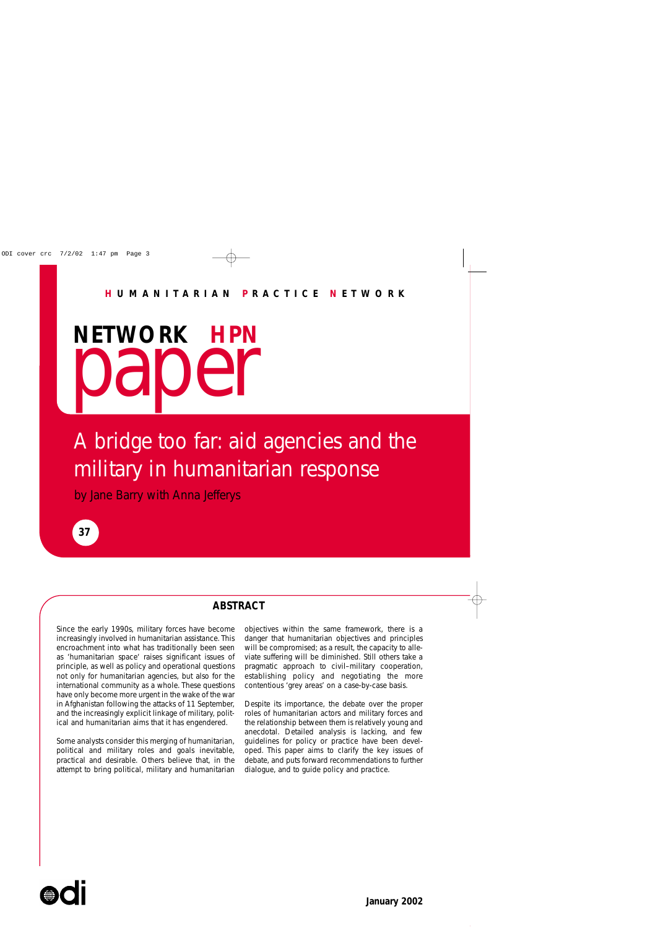**NETWORK HPN** paper

## A bridge too far: aid agencies and the military in humanitarian response

by Jane Barry with Anna Jefferys



## **ABSTRACT**

Since the early 1990s, military forces have become increasingly involved in humanitarian assistance. This encroachment into what has traditionally been seen as 'humanitarian space' raises significant issues of principle, as well as policy and operational questions not only for humanitarian agencies, but also for the international community as a whole. These questions have only become more urgent in the wake of the war in Afghanistan following the attacks of 11 September, and the increasingly explicit linkage of military, political and humanitarian aims that it has engendered.

Some analysts consider this merging of humanitarian, political and military roles and goals inevitable, practical and desirable. Others believe that, in the attempt to bring political, military and humanitarian objectives within the same framework, there is a danger that humanitarian objectives and principles will be compromised; as a result, the capacity to alleviate suffering will be diminished. Still others take a pragmatic approach to civil–military cooperation, establishing policy and negotiating the more contentious 'grey areas' on a case-by-case basis.

Despite its importance, the debate over the proper roles of humanitarian actors and military forces and the relationship between them is relatively young and anecdotal. Detailed analysis is lacking, and few guidelines for policy or practice have been developed. This paper aims to clarify the key issues of debate, and puts forward recommendations to further dialogue, and to guide policy and practice.

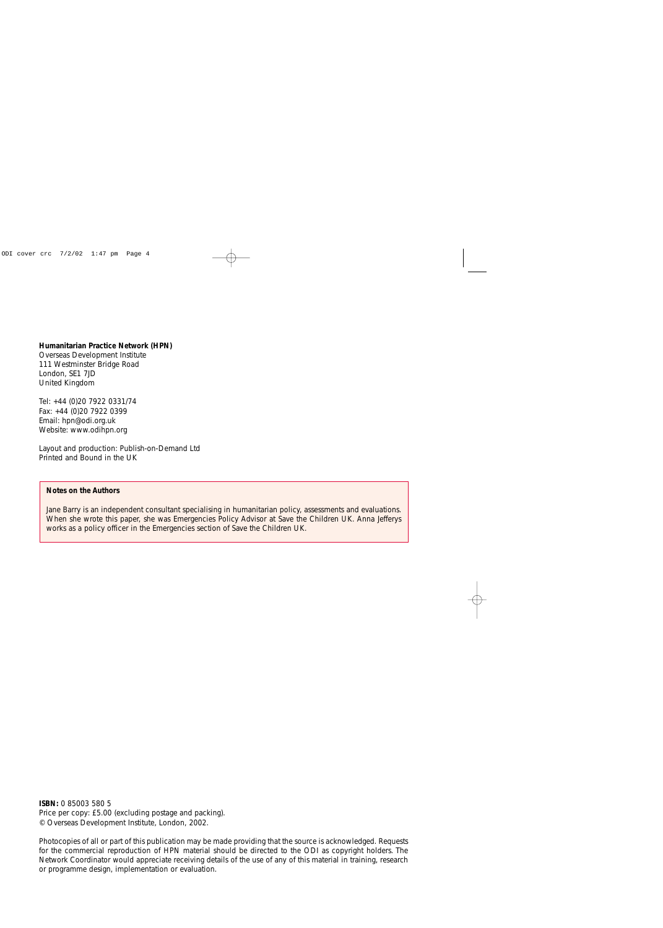#### **Humanitarian Practice Network (HPN)**

Overseas Development Institute 111 Westminster Bridge Road London, SE1 7JD United Kingdom

Tel: +44 (0)20 7922 0331/74 Fax: +44 (0)20 7922 0399 Email: hpn@odi.org.uk Website: www.odihpn.org

Layout and production: Publish-on-Demand Ltd Printed and Bound in the UK

#### **Notes on the Authors**

Jane Barry is an independent consultant specialising in humanitarian policy, assessments and evaluations. When she wrote this paper, she was Emergencies Policy Advisor at Save the Children UK. Anna Jefferys works as a policy officer in the Emergencies section of Save the Children UK.

**ISBN:** 0 85003 580 5 Price per copy: £5.00 (excluding postage and packing). © Overseas Development Institute, London, 2002.

Photocopies of all or part of this publication may be made providing that the source is acknowledged. Requests for the commercial reproduction of HPN material should be directed to the ODI as copyright holders. The Network Coordinator would appreciate receiving details of the use of any of this material in training, research or programme design, implementation or evaluation.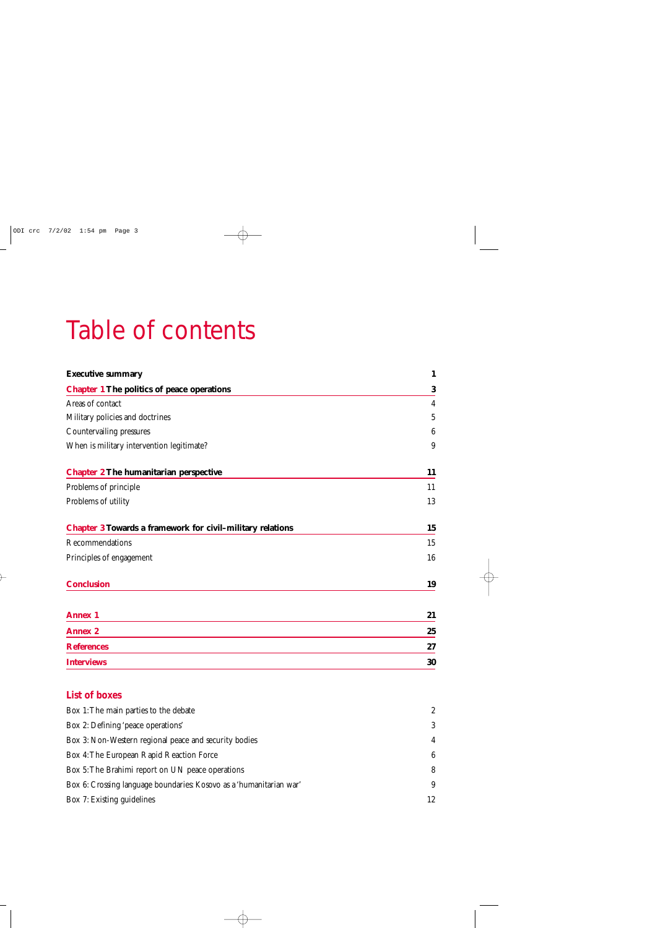# Table of contents

| <b>Executive summary</b>                                          | $\mathbf{1}$    |
|-------------------------------------------------------------------|-----------------|
| <b>Chapter 1 The politics of peace operations</b>                 | $\bf{3}$        |
| Areas of contact                                                  | $\overline{4}$  |
| Military policies and doctrines                                   | $\sqrt{5}$      |
| Countervailing pressures                                          | $6\phantom{.}6$ |
| When is military intervention legitimate?                         | 9               |
| <b>Chapter 2 The humanitarian perspective</b>                     | 11              |
| Problems of principle                                             | 11              |
| Problems of utility                                               | 13              |
| <b>Chapter 3 Towards a framework for civil-military relations</b> | 15              |
| Recommendations                                                   | 15              |
| Principles of engagement                                          | 16              |
| <b>Conclusion</b>                                                 | 19              |
| <b>Annex 1</b>                                                    | 21              |
| <b>Annex 2</b>                                                    | 25              |
| <b>References</b>                                                 | 27              |
| <b>Interviews</b>                                                 | 30              |

## **List of boxes**

| Box 1: The main parties to the debate                               | 2              |
|---------------------------------------------------------------------|----------------|
| Box 2: Defining 'peace operations'                                  | 3              |
| Box 3: Non-Western regional peace and security bodies               | $\overline{4}$ |
| Box 4: The European Rapid Reaction Force                            | 6              |
| Box 5: The Brahimi report on UN peace operations                    | 8              |
| Box 6: Crossing language boundaries: Kosovo as a 'humanitarian war' | -9             |
| Box 7: Existing guidelines                                          | 12             |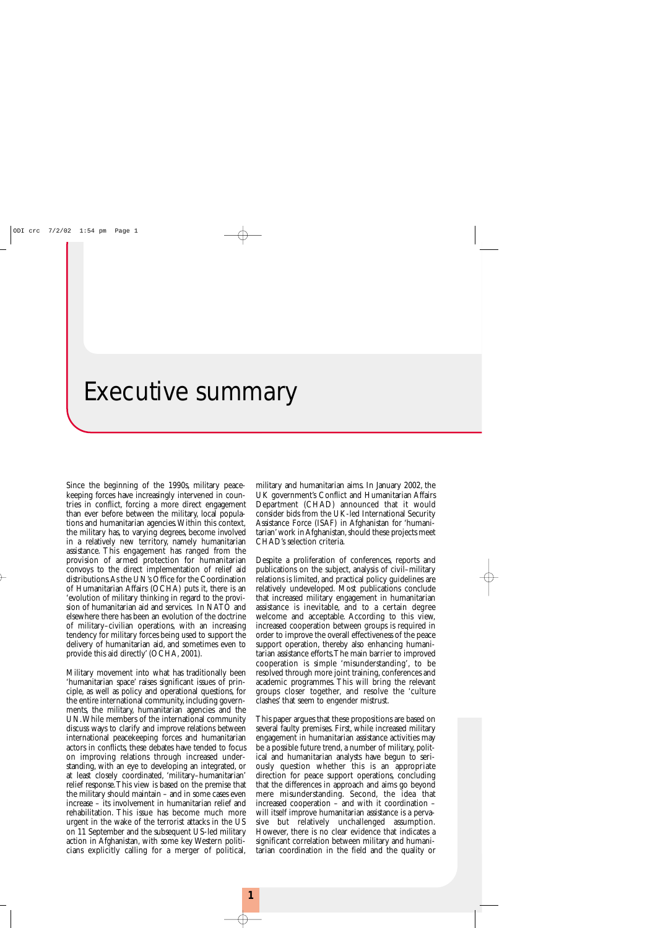## Executive summary

Since the beginning of the 1990s, military peacekeeping forces have increasingly intervened in countries in conflict, forcing a more direct engagement than ever before between the military, local populations and humanitarian agencies.Within this context, the military has, to varying degrees, become involved in a relatively new territory, namely humanitarian assistance. This engagement has ranged from the provision of armed protection for humanitarian convoys to the direct implementation of relief aid distributions.As the UN's Office for the Coordination of Humanitarian Affairs (OCHA) puts it, there is an 'evolution of military thinking in regard to the provision of humanitarian aid and services. In NATO and elsewhere there has been an evolution of the doctrine of military–civilian operations, with an increasing tendency for military forces being used to support the delivery of humanitarian aid, and sometimes even to provide this aid directly' (OCHA, 2001).

Military movement into what has traditionally been 'humanitarian space' raises significant issues of principle, as well as policy and operational questions, for the entire international community, including governments, the military, humanitarian agencies and the UN.While members of the international community discuss ways to clarify and improve relations between international peacekeeping forces and humanitarian actors in conflicts, these debates have tended to focus on improving relations through increased understanding, with an eye to developing an integrated, or at least closely coordinated, 'military–humanitarian' relief response.This view is based on the premise that the military should maintain – and in some cases even increase – its involvement in humanitarian relief and rehabilitation. This issue has become much more urgent in the wake of the terrorist attacks in the US on 11 September and the subsequent US-led military action in Afghanistan, with some key Western politicians explicitly calling for a merger of political,

military and humanitarian aims. In January 2002, the UK government's Conflict and Humanitarian Affairs Department (CHAD) announced that it would consider bids from the UK-led International Security Assistance Force (ISAF) in Afghanistan for 'humanitarian' work in Afghanistan, should these projects meet CHAD's selection criteria.

Despite a proliferation of conferences, reports and publications on the subject, analysis of civil–military relations is limited, and practical policy guidelines are relatively undeveloped. Most publications conclude that increased military engagement in humanitarian assistance is inevitable, and to a certain degree welcome and acceptable. According to this view, increased cooperation between groups is required in order to improve the overall effectiveness of the peace support operation, thereby also enhancing humanitarian assistance efforts.The main barrier to improved cooperation is simple 'misunderstanding', to be resolved through more joint training, conferences and academic programmes. This will bring the relevant groups closer together, and resolve the 'culture clashes' that seem to engender mistrust.

This paper argues that these propositions are based on several faulty premises. First, while increased military engagement in humanitarian assistance activities may be a possible future trend, a number of military, political and humanitarian analysts have begun to seriously question whether this is an appropriate direction for peace support operations, concluding that the differences in approach and aims go beyond mere misunderstanding. Second, the idea that increased cooperation – and with it coordination – will itself improve humanitarian assistance is a pervasive but relatively unchallenged assumption. However, there is no clear evidence that indicates a significant correlation between military and humanitarian coordination in the field and the quality or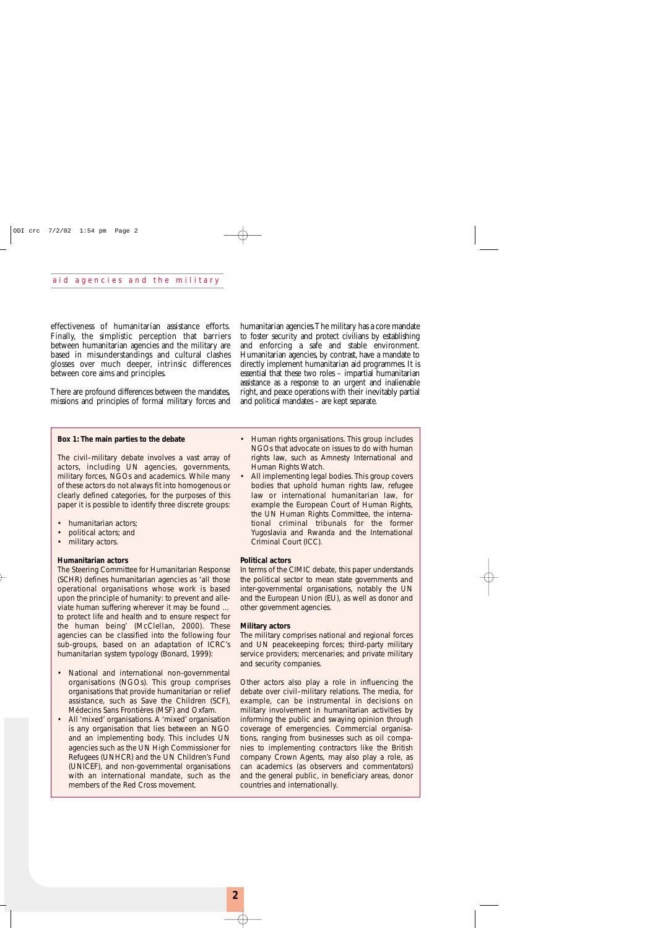effectiveness of humanitarian assistance efforts. Finally, the simplistic perception that barriers between humanitarian agencies and the military are based in misunderstandings and cultural clashes glosses over much deeper, intrinsic differences between core aims and principles.

There are profound differences between the mandates, missions and principles of formal military forces and humanitarian agencies.The military has a core mandate to foster security and protect civilians by establishing and enforcing a safe and stable environment. Humanitarian agencies, by contrast, have a mandate to directly implement humanitarian aid programmes. It is essential that these two roles – impartial humanitarian assistance as a response to an urgent and inalienable right, and peace operations with their inevitably partial and political mandates – are kept separate.

#### **Box 1: The main parties to the debate**

The civil–military debate involves a vast array of actors, including UN agencies, governments, military forces, NGOs and academics. While many of these actors do not always fit into homogenous or clearly defined categories, for the purposes of this paper it is possible to identify three discrete groups:

- humanitarian actors;
- political actors; and
- military actors.

#### **Humanitarian actors**

The Steering Committee for Humanitarian Response (SCHR) defines humanitarian agencies as 'all those operational organisations whose work is based upon the principle of humanity: to prevent and alleviate human suffering wherever it may be found … to protect life and health and to ensure respect for the human being' (McClellan, 2000). These agencies can be classified into the following four sub-groups, based on an adaptation of ICRC's humanitarian system typology (Bonard, 1999):

- National and international non-governmental organisations (NGOs). This group comprises organisations that provide humanitarian or relief assistance, such as Save the Children (SCF), Médecins Sans Frontières (MSF) and Oxfam.
- All 'mixed' organisations. A 'mixed' organisation is any organisation that lies between an NGO and an implementing body. This includes UN agencies such as the UN High Commissioner for Refugees (UNHCR) and the UN Children's Fund (UNICEF), and non-governmental organisations with an international mandate, such as the members of the Red Cross movement.
- Human rights organisations. This group includes NGOs that advocate on issues to do with human rights law, such as Amnesty International and Human Rights Watch.
- All implementing legal bodies. This group covers bodies that uphold human rights law, refugee law or international humanitarian law, for example the European Court of Human Rights, the UN Human Rights Committee, the international criminal tribunals for the former Yugoslavia and Rwanda and the International Criminal Court (ICC).

#### **Political actors**

In terms of the CIMIC debate, this paper understands the political sector to mean state governments and inter-governmental organisations, notably the UN and the European Union (EU), as well as donor and other government agencies.

#### **Military actors**

The military comprises national and regional forces and UN peacekeeping forces; third-party military service providers; mercenaries; and private military and security companies.

Other actors also play a role in influencing the debate over civil–military relations. The media, for example, can be instrumental in decisions on military involvement in humanitarian activities by informing the public and swaying opinion through coverage of emergencies. Commercial organisations, ranging from businesses such as oil companies to implementing contractors like the British company Crown Agents, may also play a role, as can academics (as observers and commentators) and the general public, in beneficiary areas, donor countries and internationally.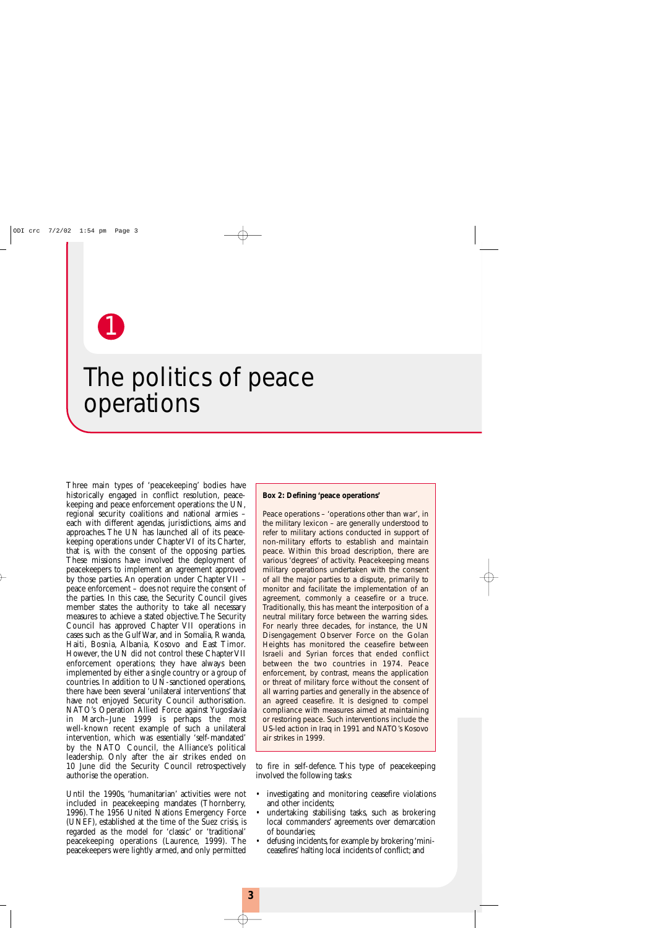1

## The politics of peace operations

Three main types of 'peacekeeping' bodies have historically engaged in conflict resolution, peacekeeping and peace enforcement operations: the UN, regional security coalitions and national armies – each with different agendas, jurisdictions, aims and approaches. The UN has launched all of its peacekeeping operations under Chapter VI of its Charter, that is, with the consent of the opposing parties. These missions have involved the deployment of peacekeepers to implement an agreement approved by those parties. An operation under Chapter VII – peace enforcement – does not require the consent of the parties. In this case, the Security Council gives member states the authority to take all necessary measures to achieve a stated objective.The Security Council has approved Chapter VII operations in cases such as the Gulf War, and in Somalia, Rwanda, Haiti, Bosnia, Albania, Kosovo and East Timor. However, the UN did not control these Chapter VII enforcement operations; they have always been implemented by either a single country or a group of countries. In addition to UN-sanctioned operations, there have been several 'unilateral interventions' that have not enjoyed Security Council authorisation. NATO's Operation Allied Force against Yugoslavia in March–June 1999 is perhaps the most well-known recent example of such a unilateral intervention, which was essentially 'self-mandated' by the NATO Council, the Alliance's political leadership. Only after the air strikes ended on 10 June did the Security Council retrospectively authorise the operation.

Until the 1990s, 'humanitarian' activities were not included in peacekeeping mandates (Thornberry, 1996). The 1956 United Nations Emergency Force (UNEF), established at the time of the Suez crisis, is regarded as the model for 'classic' or 'traditional' peacekeeping operations (Laurence, 1999). The peacekeepers were lightly armed, and only permitted

#### **Box 2: Defining 'peace operations'**

Peace operations – 'operations other than war', in the military lexicon – are generally understood to refer to military actions conducted in support of non-military efforts to establish and maintain peace. Within this broad description, there are various 'degrees' of activity. Peacekeeping means military operations undertaken with the consent of all the major parties to a dispute, primarily to monitor and facilitate the implementation of an agreement, commonly a ceasefire or a truce. Traditionally, this has meant the interposition of a neutral military force between the warring sides. For nearly three decades, for instance, the UN Disengagement Observer Force on the Golan Heights has monitored the ceasefire between Israeli and Syrian forces that ended conflict between the two countries in 1974. Peace enforcement, by contrast, means the application or threat of military force without the consent of all warring parties and generally in the absence of an agreed ceasefire. It is designed to compel compliance with measures aimed at maintaining or restoring peace. Such interventions include the US-led action in Iraq in 1991 and NATO's Kosovo air strikes in 1999.

to fire in self-defence. This type of peacekeeping involved the following tasks:

- investigating and monitoring ceasefire violations and other incidents;
- undertaking stabilising tasks, such as brokering local commanders' agreements over demarcation of boundaries;
- defusing incidents, for example by brokering 'miniceasefires' halting local incidents of conflict; and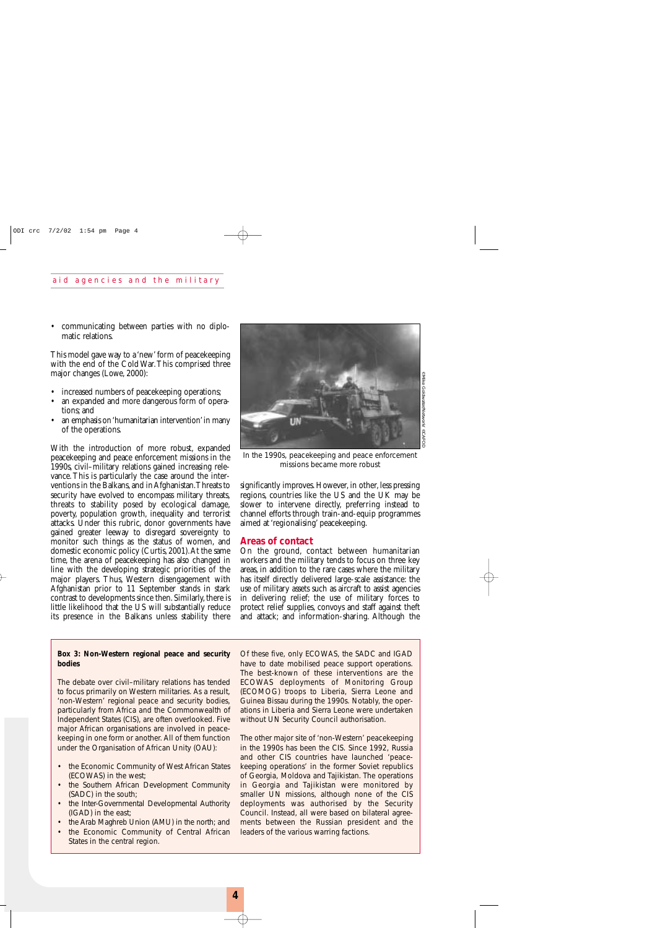• communicating between parties with no diplomatic relations.

This model gave way to a 'new' form of peacekeeping with the end of the Cold War.This comprised three major changes (Lowe, 2000):

- increased numbers of peacekeeping operations;
- an expanded and more dangerous form of operations; and
- an emphasis on 'humanitarian intervention'in many of the operations.

With the introduction of more robust, expanded peacekeeping and peace enforcement missions in the 1990s, civil–military relations gained increasing relevance.This is particularly the case around the interventions in the Balkans, and in Afghanistan.Threats to security have evolved to encompass military threats, threats to stability posed by ecological damage, poverty, population growth, inequality and terrorist attacks. Under this rubric, donor governments have gained greater leeway to disregard sovereignty to monitor such things as the status of women, and domestic economic policy (Curtis, 2001).At the same time, the arena of peacekeeping has also changed in line with the developing strategic priorities of the major players. Thus, Western disengagement with Afghanistan prior to 11 September stands in stark contrast to developments since then. Similarly, there is little likelihood that the US will substantially reduce its presence in the Balkans unless stability there

#### **Box 3: Non-Western regional peace and security bodies**

The debate over civil–military relations has tended to focus primarily on Western militaries. As a result, 'non-Western' regional peace and security bodies, particularly from Africa and the Commonwealth of Independent States (CIS), are often overlooked. Five major African organisations are involved in peacekeeping in one form or another. All of them function under the Organisation of African Unity (OAU):

- the Economic Community of West African States (ECOWAS) in the west;
- the Southern African Development Community (SADC) in the south;
- the Inter-Governmental Developmental Authority (IGAD) in the east;
- the Arab Maghreb Union (AMU) in the north; and
- the Economic Community of Central African States in the central region.



*In the 1990s, peacekeeping and peace enforcement missions became more robust*

significantly improves. However, in other, less pressing regions, countries like the US and the UK may be slower to intervene directly, preferring instead to channel efforts through train-and-equip programmes aimed at 'regionalising' peacekeeping.

#### **Areas of contact**

On the ground, contact between humanitarian workers and the military tends to focus on three key areas, in addition to the rare cases where the military has itself directly delivered large-scale assistance: the use of military assets such as aircraft to assist agencies in delivering relief; the use of military forces to protect relief supplies, convoys and staff against theft and attack; and information-sharing. Although the

Of these five, only ECOWAS, the SADC and IGAD have to date mobilised peace support operations. The best-known of these interventions are the ECOWAS deployments of Monitoring Group (ECOMOG) troops to Liberia, Sierra Leone and Guinea Bissau during the 1990s. Notably, the operations in Liberia and Sierra Leone were undertaken without UN Security Council authorisation.

The other major site of 'non-Western' peacekeeping in the 1990s has been the CIS. Since 1992, Russia and other CIS countries have launched 'peacekeeping operations' in the former Soviet republics of Georgia, Moldova and Tajikistan. The operations in Georgia and Tajikistan were monitored by smaller UN missions, although none of the CIS deployments was authorised by the Security Council. Instead, all were based on bilateral agreements between the Russian president and the leaders of the various warring factions.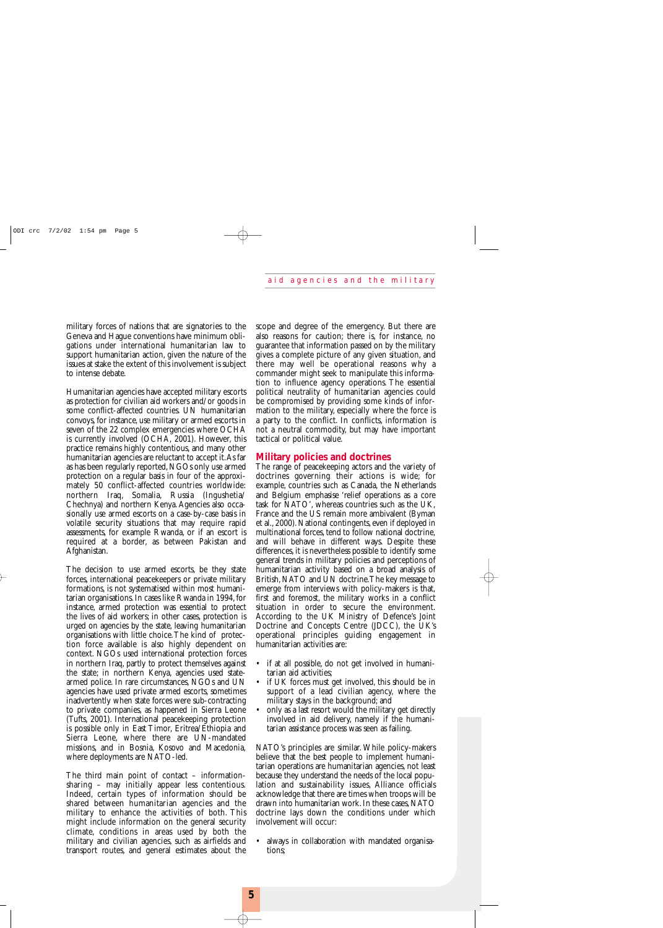military forces of nations that are signatories to the Geneva and Hague conventions have minimum obligations under international humanitarian law to support humanitarian action, given the nature of the issues at stake the extent of this involvement is subject to intense debate.

Humanitarian agencies have accepted military escorts as protection for civilian aid workers and/or goods in some conflict-affected countries. UN humanitarian convoys, for instance, use military or armed escorts in seven of the 22 complex emergencies where OCHA is currently involved (OCHA, 2001). However, this practice remains highly contentious, and many other humanitarian agencies are reluctant to accept it.As far as has been regularly reported, NGOs only use armed protection on a regular basis in four of the approximately 50 conflict-affected countries worldwide: northern Iraq, Somalia, Russia (Ingushetia/ Chechnya) and northern Kenya. Agencies also occasionally use armed escorts on a case-by-case basis in volatile security situations that may require rapid assessments, for example Rwanda, or if an escort is required at a border, as between Pakistan and Afghanistan.

The decision to use armed escorts, be they state forces, international peacekeepers or private military formations, is not systematised within most humanitarian organisations. In cases like Rwanda in 1994, for instance, armed protection was essential to protect the lives of aid workers; in other cases, protection is urged on agencies by the state, leaving humanitarian organisations with little choice.The kind of protection force available is also highly dependent on context. NGOs used international protection forces in northern Iraq, partly to protect themselves against the state; in northern Kenya, agencies used statearmed police. In rare circumstances, NGOs and UN agencies have used private armed escorts, sometimes inadvertently when state forces were sub-contracting to private companies, as happened in Sierra Leone (Tufts, 2001). International peacekeeping protection is possible only in East Timor, Eritrea/Ethiopia and Sierra Leone, where there are UN-mandated missions, and in Bosnia, Kosovo and Macedonia, where deployments are NATO-led.

The third main point of contact – informationsharing – may initially appear less contentious. Indeed, certain types of information should be shared between humanitarian agencies and the military to enhance the activities of both. This might include information on the general security climate, conditions in areas used by both the military and civilian agencies, such as airfields and transport routes, and general estimates about the scope and degree of the emergency. But there are also reasons for caution; there is, for instance, no guarantee that information passed on by the military gives a complete picture of any given situation, and there may well be operational reasons why a commander might seek to manipulate this information to influence agency operations. The essential political neutrality of humanitarian agencies could be compromised by providing some kinds of information to the military, especially where the force is a party to the conflict. In conflicts, information is not a neutral commodity, but may have important tactical or political value.

#### **Military policies and doctrines**

The range of peacekeeping actors and the variety of doctrines governing their actions is wide; for example, countries such as Canada, the Netherlands and Belgium emphasise 'relief operations as a core task for NATO', whereas countries such as the UK, France and the US remain more ambivalent (Byman et al., 2000). National contingents, even if deployed in multinational forces, tend to follow national doctrine, and will behave in different ways. Despite these differences, it is nevertheless possible to identify some general trends in military policies and perceptions of humanitarian activity based on a broad analysis of British, NATO and UN doctrine.The key message to emerge from interviews with policy-makers is that, first and foremost, the military works in a conflict situation in order to secure the environment. According to the UK Ministry of Defence's Joint Doctrine and Concepts Centre (JDCC), the UK's operational principles guiding engagement in humanitarian activities are:

- if at all possible, do not get involved in humanitarian aid activities;
- if UK forces must get involved, this should be in support of a lead civilian agency, where the military stays in the background; and
- only as a last resort would the military get directly involved in aid delivery, namely if the humanitarian assistance process was seen as failing.

NATO's principles are similar. While policy-makers believe that the best people to implement humanitarian operations are humanitarian agencies, not least because they understand the needs of the local population and sustainability issues, Alliance officials acknowledge that there are times when troops will be drawn into humanitarian work. In these cases, NATO doctrine lays down the conditions under which involvement will occur:

• always in collaboration with mandated organisations;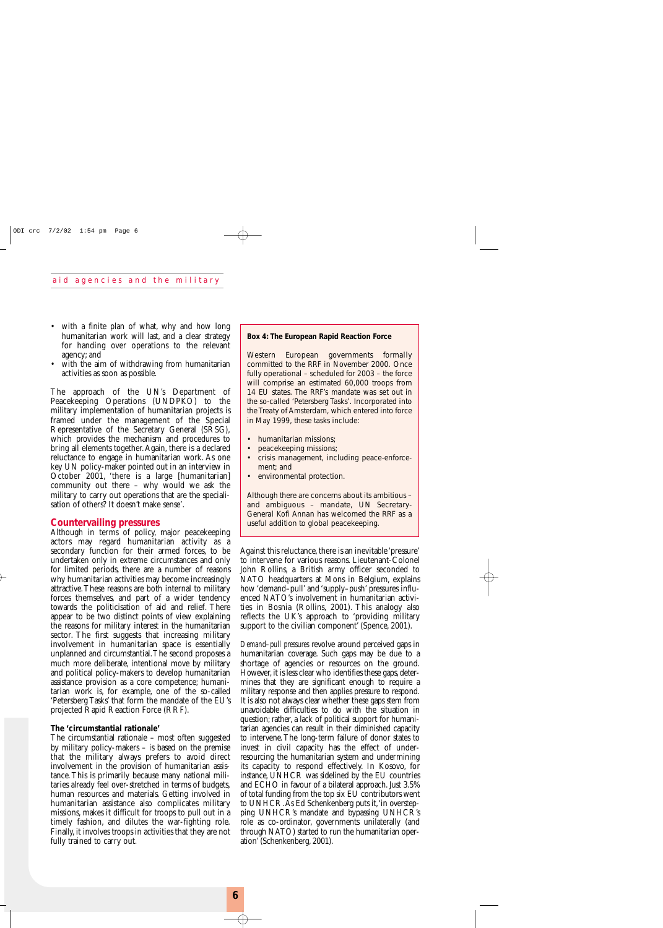- with a finite plan of what, why and how long humanitarian work will last, and a clear strategy for handing over operations to the relevant agency; and
- with the aim of withdrawing from humanitarian activities as soon as possible.

The approach of the UN's Department of Peacekeeping Operations (UNDPKO) to the military implementation of humanitarian projects is framed under the management of the Special Representative of the Secretary General (SRSG), which provides the mechanism and procedures to bring all elements together.Again, there is a declared reluctance to engage in humanitarian work. As one key UN policy-maker pointed out in an interview in October 2001, 'there is a large [humanitarian] community out there – why would we ask the military to carry out operations that are the specialisation of others? It doesn't make sense'.

#### **Countervailing pressures**

Although in terms of policy, major peacekeeping actors may regard humanitarian activity as a secondary function for their armed forces, to be undertaken only in extreme circumstances and only for limited periods, there are a number of reasons why humanitarian activities may become increasingly attractive.These reasons are both internal to military forces themselves, and part of a wider tendency towards the politicisation of aid and relief. There appear to be two distinct points of view explaining the reasons for military interest in the humanitarian sector. The first suggests that increasing military involvement in humanitarian space is essentially unplanned and circumstantial.The second proposes a much more deliberate, intentional move by military and political policy-makers to develop humanitarian assistance provision as a core competence; humanitarian work is, for example, one of the so-called 'Petersberg Tasks' that form the mandate of the EU's projected Rapid Reaction Force (RRF).

#### **The 'circumstantial rationale'**

The circumstantial rationale – most often suggested by military policy-makers – is based on the premise that the military always prefers to avoid direct involvement in the provision of humanitarian assistance. This is primarily because many national militaries already feel over-stretched in terms of budgets, human resources and materials. Getting involved in humanitarian assistance also complicates military missions, makes it difficult for troops to pull out in a timely fashion, and dilutes the war-fighting role. Finally, it involves troops in activities that they are not fully trained to carry out.

#### **Box 4: The European Rapid Reaction Force**

Western European governments formally committed to the RRF in November 2000. Once fully operational – scheduled for 2003 – the force will comprise an estimated 60,000 troops from 14 EU states. The RRF's mandate was set out in the so-called 'Petersberg Tasks'. Incorporated into the Treaty of Amsterdam, which entered into force in May 1999, these tasks include:

- humanitarian missions;
- peacekeeping missions;
- crisis management, including peace-enforcement; and
- environmental protection.

Although there are concerns about its ambitious – and ambiguous – mandate, UN Secretary-General Kofi Annan has welcomed the RRF as a useful addition to global peacekeeping.

Against this reluctance, there is an inevitable 'pressure' to intervene for various reasons. Lieutenant-Colonel John Rollins, a British army officer seconded to NATO headquarters at Mons in Belgium, explains how 'demand–pull' and 'supply–push' pressures influenced NATO's involvement in humanitarian activities in Bosnia (Rollins, 2001). This analogy also reflects the UK's approach to 'providing military support to the civilian component' (Spence, 2001).

*Demand–pull pressures* revolve around perceived gaps in humanitarian coverage. Such gaps may be due to a shortage of agencies or resources on the ground. However, it is less clear who identifies these gaps, determines that they are significant enough to require a military response and then applies pressure to respond. It is also not always clear whether these gaps stem from unavoidable difficulties to do with the situation in question; rather, a lack of political support for humanitarian agencies can result in their diminished capacity to intervene.The long-term failure of donor states to invest in civil capacity has the effect of underresourcing the humanitarian system and undermining its capacity to respond effectively. In Kosovo, for instance, UNHCR was sidelined by the EU countries and ECHO in favour of a bilateral approach. Just 3.5% of total funding from the top six EU contributors went to UNHCR.As Ed Schenkenberg puts it,'in overstepping UNHCR's mandate and bypassing UNHCR's role as co-ordinator, governments unilaterally (and through NATO) started to run the humanitarian operation' (Schenkenberg, 2001).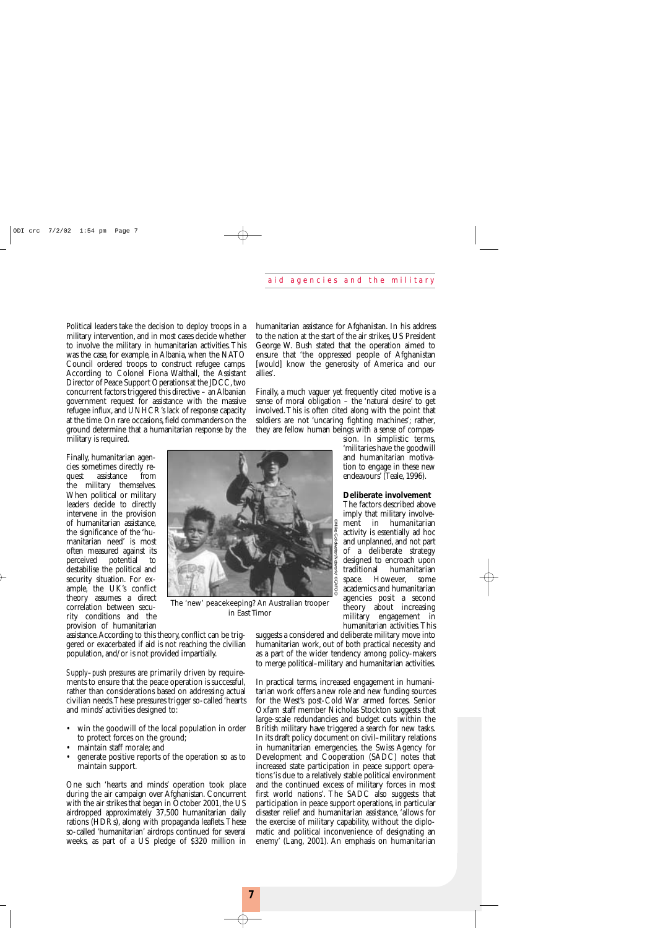Political leaders take the decision to deploy troops in a military intervention, and in most cases decide whether to involve the military in humanitarian activities. This was the case, for example, in Albania, when the NATO Council ordered troops to construct refugee camps. According to Colonel Fiona Walthall, the Assistant Director of Peace Support Operations at the JDCC, two concurrent factors triggered this directive – an Albanian government request for assistance with the massive refugee influx, and UNHCR's lack of response capacity at the time. On rare occasions, field commanders on the ground determine that a humanitarian response by the military is required.

Finally, humanitarian agencies sometimes directly request assistance from the military themselves. When political or military leaders decide to directly intervene in the provision of humanitarian assistance, the significance of the 'humanitarian need' is most often measured against its perceived potential to destabilise the political and security situation. For example, the UK's conflict theory assumes a direct correlation between security conditions and the provision of humanitarian

assistance.According to this theory,conflict can be triggered or exacerbated if aid is not reaching the civilian population, and/or is not provided impartially.

*Supply–push pressures* are primarily driven by requirements to ensure that the peace operation is successful, rather than considerations based on addressing actual civilian needs.These pressures trigger so-called 'hearts and minds' activities designed to:

- win the goodwill of the local population in order to protect forces on the ground;
- maintain staff morale; and
- generate positive reports of the operation so as to maintain support.

One such 'hearts and minds' operation took place during the air campaign over Afghanistan. Concurrent with the air strikes that began in October 2001, the US airdropped approximately 37,500 humanitarian daily rations (HDRs), along with propaganda leaflets.These so-called 'humanitarian' airdrops continued for several weeks, as part of a US pledge of \$320 million in

humanitarian assistance for Afghanistan. In his address to the nation at the start of the air strikes, US President George W. Bush stated that the operation aimed to ensure that 'the oppressed people of Afghanistan [would] know the generosity of America and our allies'.

Finally, a much vaguer yet frequently cited motive is a sense of moral obligation – the 'natural desire' to get involved.This is often cited along with the point that soldiers are not 'uncaring fighting machines'; rather, they are fellow human beings with a sense of compas-

> sion. In simplistic terms, 'militaries have the goodwill and humanitarian motivation to engage in these new endeavours' (Teale, 1996).

#### **Deliberate involvement**

The factors described above imply that military involvement in humanitarian activity is essentially ad hoc and unplanned, and not part of a deliberate strategy designed to encroach upon traditional humanitarian space. However, some academics and humanitarian agencies posit a second theory about increasing military engagement in humanitarian activities.This

suggests a considered and deliberate military move into humanitarian work, out of both practical necessity and as a part of the wider tendency among policy-makers to merge political–military and humanitarian activities.

In practical terms, increased engagement in humanitarian work offers a new role and new funding sources for the West's post-Cold War armed forces. Senior Oxfam staff member Nicholas Stockton suggests that large-scale redundancies and budget cuts within the British military have triggered a search for new tasks. In its draft policy document on civil–military relations in humanitarian emergencies, the Swiss Agency for Development and Cooperation (SADC) notes that increased state participation in peace support operations 'is due to a relatively stable political environment and the continued excess of military forces in most first world nations'. The SADC also suggests that participation in peace support operations, in particular disaster relief and humanitarian assistance, 'allows for the exercise of military capability, without the diplomatic and political inconvenience of designating an enemy' (Lang, 2001). An emphasis on humanitarian



*in East Timor*

**7**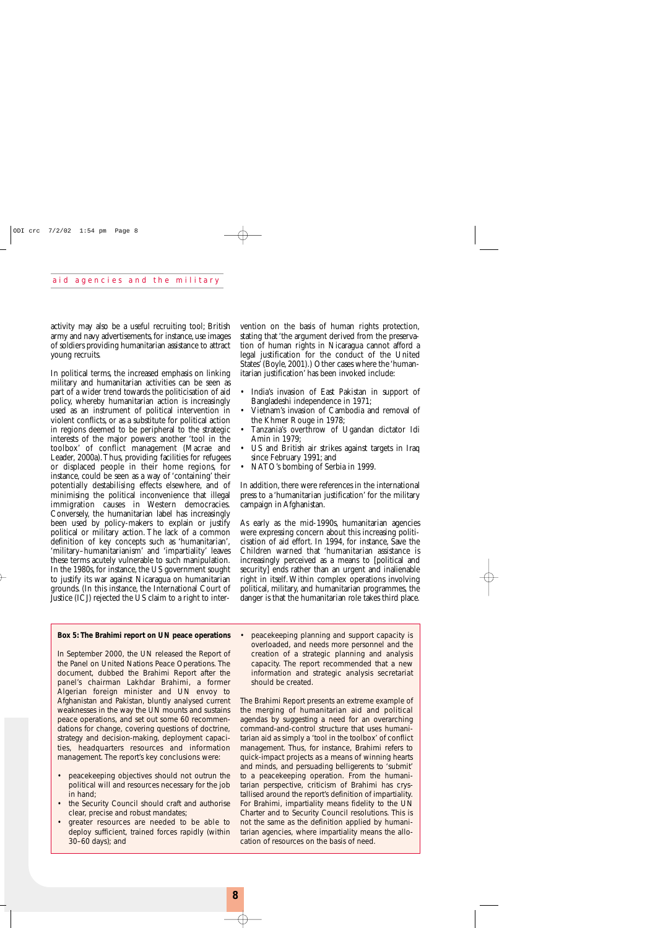activity may also be a useful recruiting tool; British army and navy advertisements, for instance, use images of soldiers providing humanitarian assistance to attract young recruits.

In political terms, the increased emphasis on linking military and humanitarian activities can be seen as part of a wider trend towards the politicisation of aid policy, whereby humanitarian action is increasingly used as an instrument of political intervention in violent conflicts, or as a substitute for political action in regions deemed to be peripheral to the strategic interests of the major powers: another 'tool in the toolbox' of conflict management (Macrae and Leader, 2000a).Thus, providing facilities for refugees or displaced people in their home regions, for instance, could be seen as a way of 'containing' their potentially destabilising effects elsewhere, and of minimising the political inconvenience that illegal immigration causes in Western democracies. Conversely, the humanitarian label has increasingly been used by policy-makers to explain or justify political or military action. The lack of a common definition of key concepts such as 'humanitarian', 'military–humanitarianism' and 'impartiality' leaves these terms acutely vulnerable to such manipulation. In the 1980s, for instance, the US government sought to justify its war against Nicaragua on humanitarian grounds. (In this instance, the International Court of Justice (ICJ) rejected the US claim to a right to inter-

#### **Box 5: The Brahimi report on UN peace operations**

In September 2000, the UN released the *Report of the Panel on United Nations Peace Operations*. The document, dubbed the Brahimi Report after the panel's chairman Lakhdar Brahimi, a former Algerian foreign minister and UN envoy to Afghanistan and Pakistan, bluntly analysed current weaknesses in the way the UN mounts and sustains peace operations, and set out some 60 recommendations for change, covering questions of doctrine, strategy and decision-making, deployment capacities, headquarters resources and information management. The report's key conclusions were:

- peacekeeping objectives should not outrun the political will and resources necessary for the job in hand;
- the Security Council should craft and authorise clear, precise and robust mandates;
- greater resources are needed to be able to deploy sufficient, trained forces rapidly (within 30–60 days); and

vention on the basis of human rights protection, stating that 'the argument derived from the preservation of human rights in Nicaragua cannot afford a legal justification for the conduct of the United States' (Boyle, 2001).) Other cases where the 'humanitarian justification' has been invoked include:

- India's invasion of East Pakistan in support of Bangladeshi independence in 1971;
- Vietnam's invasion of Cambodia and removal of the Khmer Rouge in 1978;
- Tanzania's overthrow of Ugandan dictator Idi Amin in 1979;
- US and British air strikes against targets in Iraq since February 1991; and
- NATO's bombing of Serbia in 1999.

In addition, there were references in the international press to a 'humanitarian justification' for the military campaign in Afghanistan.

As early as the mid-1990s, humanitarian agencies were expressing concern about this increasing politicisation of aid effort. In 1994, for instance, Save the Children warned that 'humanitarian assistance is increasingly perceived as a means to [political and security] ends rather than an urgent and inalienable right in itself. Within complex operations involving political, military, and humanitarian programmes, the danger is that the humanitarian role takes third place.

• peacekeeping planning and support capacity is overloaded, and needs more personnel and the creation of a strategic planning and analysis capacity. The report recommended that a new information and strategic analysis secretariat should be created.

The Brahimi Report presents an extreme example of the merging of humanitarian aid and political agendas by suggesting a need for an overarching command-and-control structure that uses humanitarian aid as simply a 'tool in the toolbox' of conflict management. Thus, for instance, Brahimi refers to quick-impact projects as a means of winning hearts and minds, and persuading belligerents to 'submit' to a peacekeeping operation. From the humanitarian perspective, criticism of Brahimi has crystallised around the report's definition of impartiality. For Brahimi, impartiality means fidelity to the UN Charter and to Security Council resolutions. This is not the same as the definition applied by humanitarian agencies, where impartiality means the allocation of resources on the basis of need.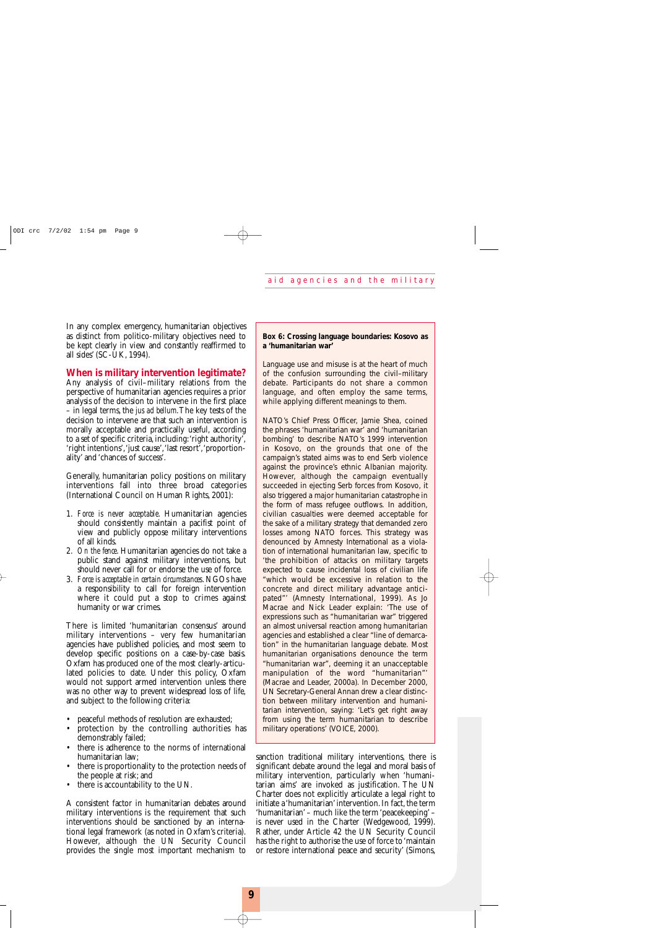In any complex emergency, humanitarian objectives as distinct from politico-military objectives need to be kept clearly in view and constantly reaffirmed to all sides' (SC-UK, 1994).

#### **When is military intervention legitimate?**

Any analysis of civil–military relations from the perspective of humanitarian agencies requires a prior analysis of the decision to intervene in the first place – in legal terms, the *jus ad bellum*.The key tests of the decision to intervene are that such an intervention is morally acceptable and practically useful, according to a set of specific criteria,including:'right authority', 'right intentions','just cause','last resort','proportionality' and 'chances of success'.

Generally, humanitarian policy positions on military interventions fall into three broad categories (International Council on Human Rights, 2001):

- 1. *Force is never acceptable*. Humanitarian agencies should consistently maintain a pacifist point of view and publicly oppose military interventions of all kinds.
- 2. *On the fence*. Humanitarian agencies do not take a public stand against military interventions, but should never call for or endorse the use of force.
- 3. *Force is acceptable in certain circumstances*. NGOs have a responsibility to call for foreign intervention where it could put a stop to crimes against humanity or war crimes.

There is limited 'humanitarian consensus' around military interventions – very few humanitarian agencies have published policies, and most seem to develop specific positions on a case-by-case basis. Oxfam has produced one of the most clearly-articulated policies to date. Under this policy, Oxfam would not support armed intervention unless there was no other way to prevent widespread loss of life, and subject to the following criteria:

- peaceful methods of resolution are exhausted;
- protection by the controlling authorities has demonstrably failed;
- there is adherence to the norms of international humanitarian law;
- there is proportionality to the protection needs of the people at risk; and
- there is accountability to the UN.

A consistent factor in humanitarian debates around military interventions is the requirement that such interventions should be sanctioned by an international legal framework (as noted in Oxfam's criteria). However, although the UN Security Council provides the single most important mechanism to

#### **Box 6: Crossing language boundaries: Kosovo as a 'humanitarian war'**

Language use and misuse is at the heart of much of the confusion surrounding the civil–military debate. Participants do not share a common language, and often employ the same terms, while applying different meanings to them.

NATO's Chief Press Officer, Jamie Shea, coined the phrases 'humanitarian war' and 'humanitarian bombing' to describe NATO's 1999 intervention in Kosovo, on the grounds that one of the campaign's stated aims was to end Serb violence against the province's ethnic Albanian majority. However, although the campaign eventually succeeded in ejecting Serb forces from Kosovo, it also triggered a major humanitarian catastrophe in the form of mass refugee outflows. In addition, civilian casualties were deemed acceptable for the sake of a military strategy that demanded zero losses among NATO forces. This strategy was denounced by Amnesty International as a violation of international humanitarian law, specific to 'the prohibition of attacks on military targets expected to cause incidental loss of civilian life "which would be excessive in relation to the concrete and direct military advantage anticipated"' (Amnesty International, 1999). As Jo Macrae and Nick Leader explain: 'The use of expressions such as "humanitarian war" triggered an almost universal reaction among humanitarian agencies and established a clear "line of demarcation" in the humanitarian language debate. Most humanitarian organisations denounce the term "humanitarian war", deeming it an unacceptable manipulation of the word "humanitarian"' (Macrae and Leader, 2000a). In December 2000, UN Secretary-General Annan drew a clear distinction between military intervention and humanitarian intervention, saying: 'Let's get right away from using the term humanitarian to describe military operations' (VOICE, 2000).

sanction traditional military interventions, there is significant debate around the legal and moral basis of military intervention, particularly when 'humanitarian aims' are invoked as justification. The UN Charter does not explicitly articulate a legal right to initiate a 'humanitarian' intervention. In fact, the term 'humanitarian' – much like the term 'peacekeeping' – is never used in the Charter (Wedgewood, 1999). Rather, under Article 42 the UN Security Council has the right to authorise the use of force to 'maintain or restore international peace and security' (Simons,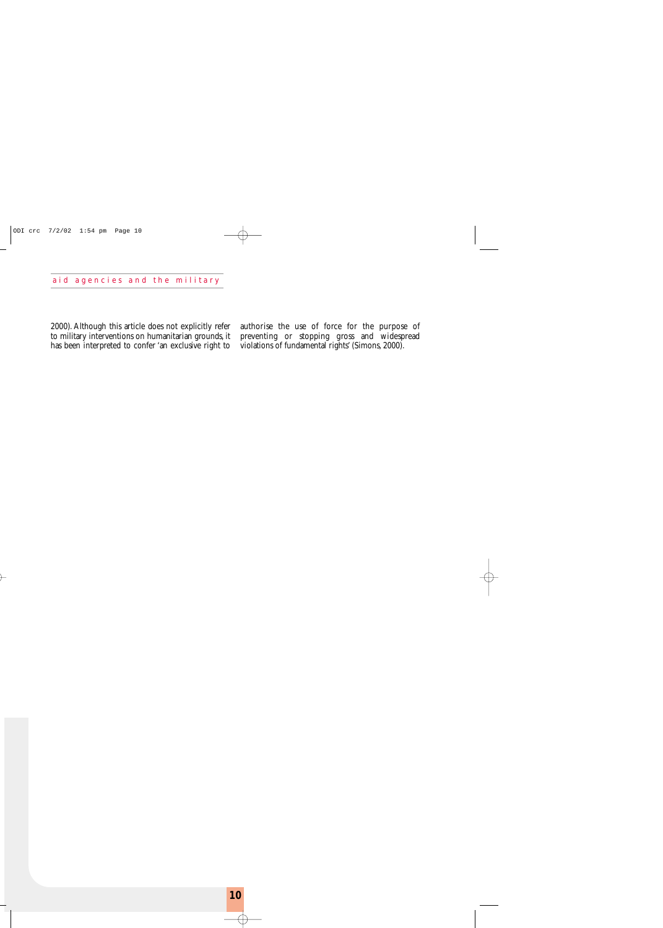2000). Although this article does not explicitly refer to military interventions on humanitarian grounds, it has been interpreted to confer 'an exclusive right to

authorise the use of force for the purpose of preventing or stopping gross and widespread violations of fundamental rights' (Simons, 2000).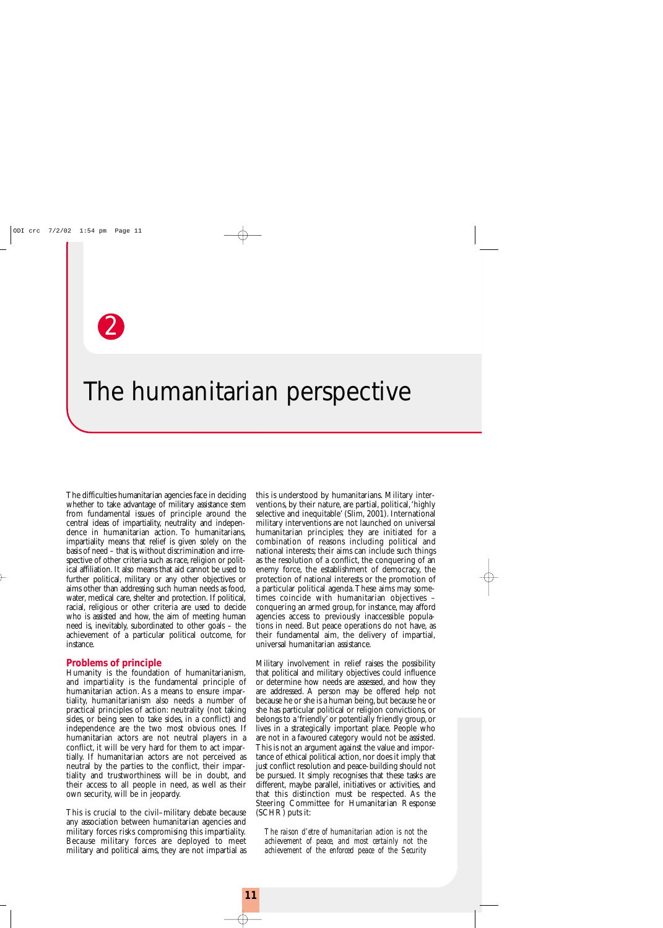

## The humanitarian perspective

The difficulties humanitarian agencies face in deciding whether to take advantage of military assistance stem from fundamental issues of principle around the central ideas of impartiality, neutrality and independence in humanitarian action. To humanitarians, impartiality means that relief is given solely on the basis of need – that is,without discrimination and irrespective of other criteria such as race, religion or political affiliation. It also means that aid cannot be used to further political, military or any other objectives or aims other than addressing such human needs as food, water, medical care, shelter and protection. If political, racial, religious or other criteria are used to decide who is assisted and how, the aim of meeting human need is, inevitably, subordinated to other goals – the achievement of a particular political outcome, for instance.

#### **Problems of principle**

Humanity is the foundation of humanitarianism, and impartiality is the fundamental principle of humanitarian action. As a means to ensure impartiality, humanitarianism also needs a number of practical principles of action: neutrality (not taking sides, or being seen to take sides, in a conflict) and independence are the two most obvious ones. If humanitarian actors are not neutral players in a conflict, it will be very hard for them to act impartially. If humanitarian actors are not perceived as neutral by the parties to the conflict, their impartiality and trustworthiness will be in doubt, and their access to all people in need, as well as their own security, will be in jeopardy.

This is crucial to the civil–military debate because any association between humanitarian agencies and military forces risks compromising this impartiality. Because military forces are deployed to meet military and political aims, they are not impartial as

this is understood by humanitarians. Military interventions, by their nature, are partial, political,'highly selective and inequitable' (Slim, 2001). International military interventions are not launched on universal humanitarian principles; they are initiated for a combination of reasons including political and national interests; their aims can include such things as the resolution of a conflict, the conquering of an enemy force, the establishment of democracy, the protection of national interests or the promotion of a particular political agenda.These aims may sometimes coincide with humanitarian objectives – conquering an armed group, for instance, may afford agencies access to previously inaccessible populations in need. But peace operations do not have, as their fundamental aim, the delivery of impartial, universal humanitarian assistance.

Military involvement in relief raises the possibility that political and military objectives could influence or determine how needs are assessed, and how they are addressed. A person may be offered help not because he or she is a human being, but because he or she has particular political or religion convictions, or belongs to a 'friendly' or potentially friendly group, or lives in a strategically important place. People who are not in a favoured category would not be assisted. This is not an argument against the value and importance of ethical political action, nor does it imply that just conflict resolution and peace-building should not be pursued. It simply recognises that these tasks are different, maybe parallel, initiatives or activities, and that this distinction must be respected. As the Steering Committee for Humanitarian Response (SCHR) puts it:

*The raison d'etre of humanitarian action is not the achievement of peace, and most certainly not the achievement of the enforced peace of the Security*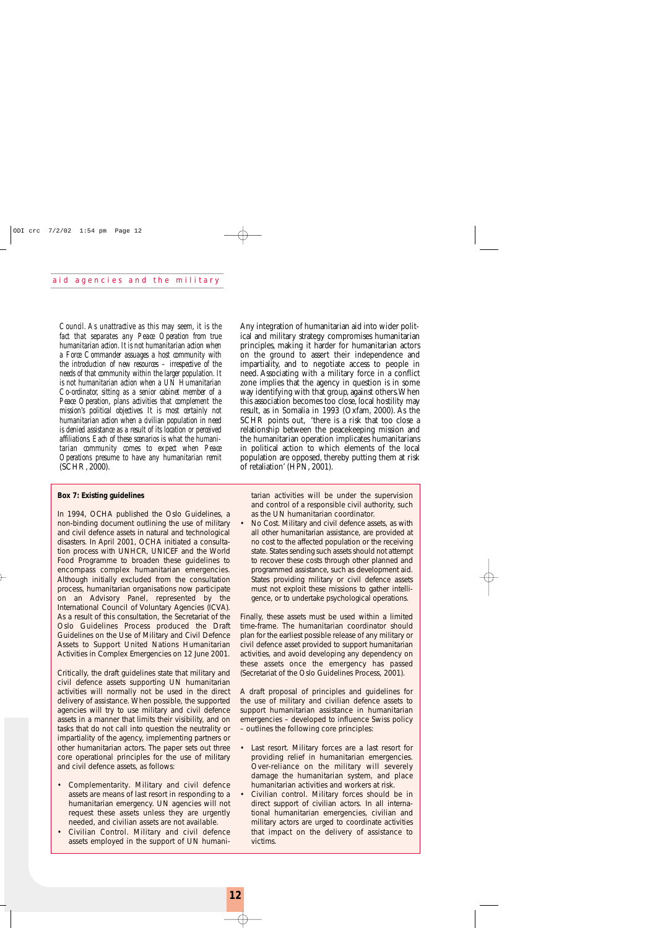*Council. As unattractive as this may seem, it is the fact that separates any Peace Operation from true humanitarian action.It is not humanitarian action when a Force Commander assuages a host community with the introduction of new resources – irrespective of the needs of that community within the larger population. It is not humanitarian action when a UN Humanitarian Co-ordinator, sitting as a senior cabinet member of a Peace Operation, plans activities that complement the mission's political objectives. It is most certainly not humanitarian action when a civilian population in need is denied assistance as a result of its location or perceived affiliations. Each of these scenarios is what the humanitarian community comes to expect when Peace Operations presume to have any humanitarian remit* (SCHR, 2000).

#### **Box 7: Existing guidelines**

In 1994, OCHA published the Oslo Guidelines, a non-binding document outlining the use of military and civil defence assets in natural and technological disasters. In April 2001, OCHA initiated a consultation process with UNHCR, UNICEF and the World Food Programme to broaden these guidelines to encompass complex humanitarian emergencies. Although initially excluded from the consultation process, humanitarian organisations now participate on an Advisory Panel, represented by the International Council of Voluntary Agencies (ICVA). As a result of this consultation, the Secretariat of the Oslo Guidelines Process produced the Draft Guidelines on the Use of Military and Civil Defence Assets to Support United Nations Humanitarian Activities in Complex Emergencies on 12 June 2001.

Critically, the draft guidelines state that military and civil defence assets supporting UN humanitarian activities will normally not be used in the direct delivery of assistance. When possible, the supported agencies will try to use military and civil defence assets in a manner that limits their visibility, and on tasks that do not call into question the neutrality or impartiality of the agency, implementing partners or other humanitarian actors. The paper sets out three core operational principles for the use of military and civil defence assets, as follows:

- *Complementarity*. Military and civil defence assets are means of last resort in responding to a humanitarian emergency. UN agencies will not request these assets unless they are urgently needed, and civilian assets are not available.
- *Civilian Control*. Military and civil defence assets employed in the support of UN humani-

Any integration of humanitarian aid into wider political and military strategy compromises humanitarian principles, making it harder for humanitarian actors on the ground to assert their independence and impartiality, and to negotiate access to people in need. Associating with a military force in a conflict zone implies that the agency in question is in some way identifying with that group, against others.When this association becomes too close, local hostility may result, as in Somalia in 1993 (Oxfam, 2000). As the SCHR points out, 'there is a risk that too close a relationship between the peacekeeping mission and the humanitarian operation implicates humanitarians in political action to which elements of the local population are opposed, thereby putting them at risk of retaliation' (HPN, 2001).

tarian activities will be under the supervision and control of a responsible civil authority, such as the UN humanitarian coordinator.

• *No Cost*. Military and civil defence assets, as with all other humanitarian assistance, are provided at no cost to the affected population or the receiving state. States sending such assets should not attempt to recover these costs through other planned and programmed assistance, such as development aid. States providing military or civil defence assets must not exploit these missions to gather intelligence, or to undertake psychological operations.

Finally, these assets must be used within a limited time-frame. The humanitarian coordinator should plan for the earliest possible release of any military or civil defence asset provided to support humanitarian activities, and avoid developing any dependency on these assets once the emergency has passed (Secretariat of the Oslo Guidelines Process, 2001).

A draft proposal of principles and guidelines for the use of military and civilian defence assets to support humanitarian assistance in humanitarian emergencies – developed to influence Swiss policy – outlines the following core principles:

- *Last resort*. Military forces are a last resort for providing relief in humanitarian emergencies. Over-reliance on the military will severely damage the humanitarian system, and place humanitarian activities and workers at risk.
- *Civilian control*. Military forces should be in direct support of civilian actors. In all international humanitarian emergencies, civilian and military actors are urged to coordinate activities that impact on the delivery of assistance to victims.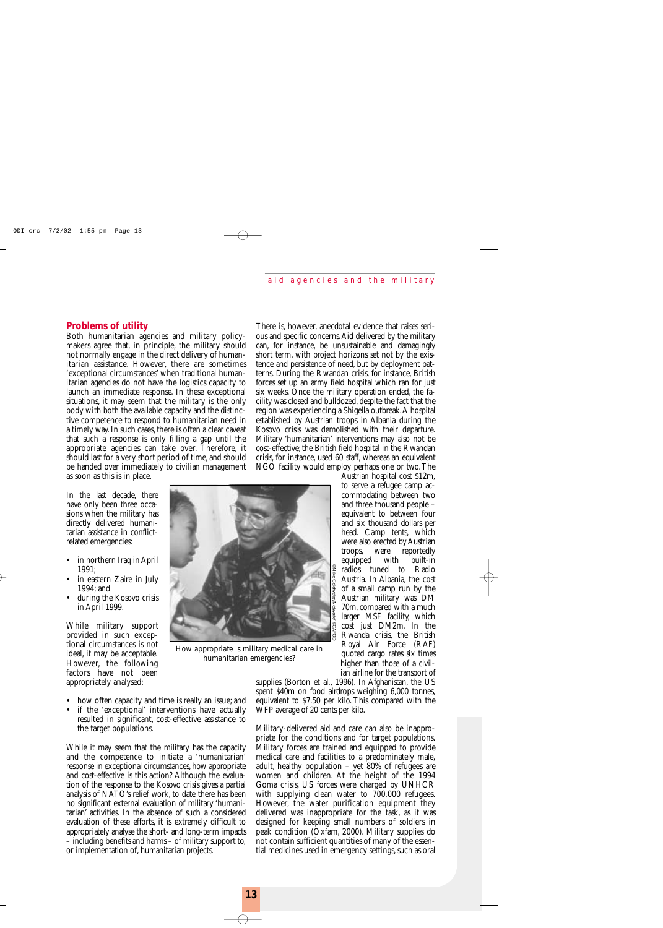#### **Problems of utility**

Both humanitarian agencies and military policymakers agree that, in principle, the military should not normally engage in the direct delivery of humanitarian assistance. However, there are sometimes 'exceptional circumstances' when traditional humanitarian agencies do not have the logistics capacity to launch an immediate response. In these exceptional situations, it may seem that the military is the only body with both the available capacity and the distinctive competence to respond to humanitarian need in a timely way. In such cases, there is often a clear caveat that such a response is only filling a gap until the appropriate agencies can take over. Therefore, it should last for a very short period of time, and should be handed over immediately to civilian management as soon as this is in place.

In the last decade, there have only been three occasions when the military has directly delivered humanitarian assistance in conflictrelated emergencies:

- in northern Iraq in April 1991;
- in eastern Zaire in July 1994; and
- during the Kosovo crisis in April 1999.

While military support provided in such exceptional circumstances is not ideal, it may be acceptable. However, the following factors have not been appropriately analysed:

- how often capacity and time is really an issue; and
- if the 'exceptional' interventions have actually resulted in significant, cost-effective assistance to the target populations.

While it may seem that the military has the capacity and the competence to initiate a 'humanitarian' response in exceptional circumstances, how appropriate and cost-effective is this action? Although the evaluation of the response to the Kosovo crisis gives a partial analysis of NATO's relief work, to date there has been no significant external evaluation of military 'humanitarian' activities. In the absence of such a considered evaluation of these efforts, it is extremely difficult to appropriately analyse the short- and long-term impacts – including benefits and harms – of military support to, or implementation of, humanitarian projects.

**GAFOI** 

*How appropriate is military medical care in humanitarian emergencies?*

There is, however, anecdotal evidence that raises serious and specific concerns.Aid delivered by the military can, for instance, be unsustainable and damagingly short term, with project horizons set not by the existence and persistence of need, but by deployment patterns. During the Rwandan crisis, for instance, British forces set up an army field hospital which ran for just six weeks. Once the military operation ended, the facility was closed and bulldozed, despite the fact that the region was experiencing a Shigella outbreak.A hospital established by Austrian troops in Albania during the Kosovo crisis was demolished with their departure. Military 'humanitarian' interventions may also not be cost-effective; the British field hospital in the Rwandan crisis, for instance, used 60 staff, whereas an equivalent NGO facility would employ perhaps one or two.The

> Austrian hospital cost \$12m, to serve a refugee camp accommodating between two and three thousand people – equivalent to between four and six thousand dollars per head. Camp tents, which were also erected by Austrian<br>troops, were reportedly troops, were reportedly<br>equipped with built-in equipped with radios tuned to Radio Austria. In Albania, the cost of a small camp run by the Austrian military was DM 70m, compared with a much larger MSF facility, which cost just DM2m. In the Rwanda crisis, the British Royal Air Force (RAF) quoted cargo rates six times higher than those of a civilian airline for the transport of

supplies (Borton et al., 1996). In Afghanistan, the US spent \$40m on food airdrops weighing 6,000 tonnes, equivalent to \$7.50 per kilo. This compared with the WFP average of 20 cents per kilo.

©Mike Goldwater/Network/ ©CAFOD

Military-delivered aid and care can also be inappropriate for the conditions and for target populations. Military forces are trained and equipped to provide medical care and facilities to a predominately male, adult, healthy population – yet 80% of refugees are women and children. At the height of the 1994 Goma crisis, US forces were charged by UNHCR with supplying clean water to 700,000 refugees. However, the water purification equipment they delivered was inappropriate for the task, as it was designed for keeping small numbers of soldiers in peak condition (Oxfam, 2000). Military supplies do not contain sufficient quantities of many of the essential medicines used in emergency settings, such as oral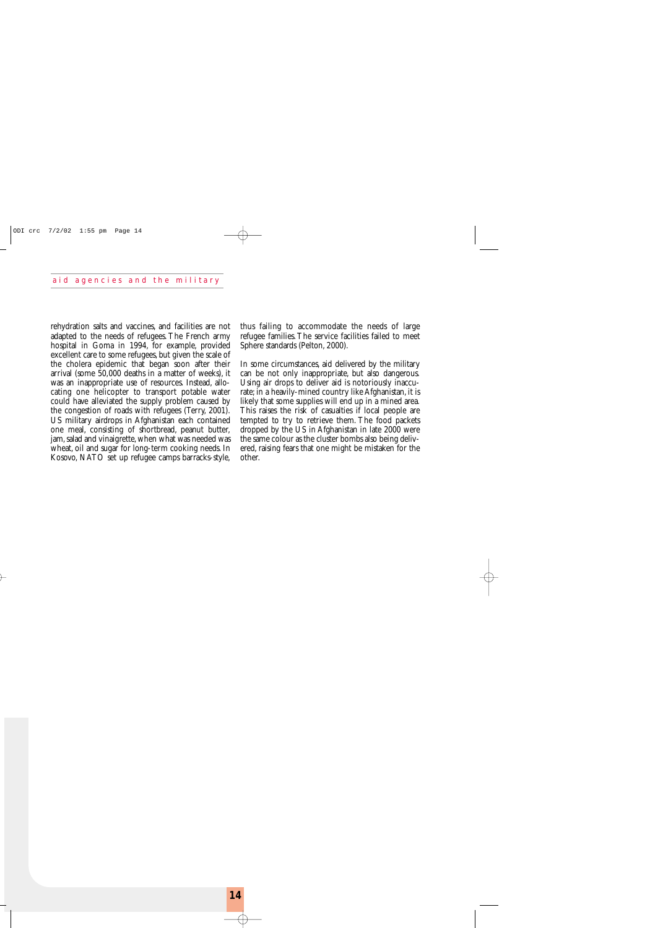rehydration salts and vaccines, and facilities are not adapted to the needs of refugees. The French army hospital in Goma in 1994, for example, provided excellent care to some refugees, but given the scale of the cholera epidemic that began soon after their arrival (some 50,000 deaths in a matter of weeks), it was an inappropriate use of resources. Instead, allocating one helicopter to transport potable water could have alleviated the supply problem caused by the congestion of roads with refugees (Terry, 2001). US military airdrops in Afghanistan each contained one meal, consisting of shortbread, peanut butter, jam, salad and vinaigrette, when what was needed was wheat, oil and sugar for long-term cooking needs. In Kosovo, NATO set up refugee camps barracks-style,

thus failing to accommodate the needs of large refugee families. The service facilities failed to meet Sphere standards (Pelton, 2000).

In some circumstances, aid delivered by the military can be not only inappropriate, but also dangerous. Using air drops to deliver aid is notoriously inaccurate; in a heavily-mined country like Afghanistan, it is likely that some supplies will end up in a mined area. This raises the risk of casualties if local people are tempted to try to retrieve them. The food packets dropped by the US in Afghanistan in late 2000 were the same colour as the cluster bombs also being delivered, raising fears that one might be mistaken for the other.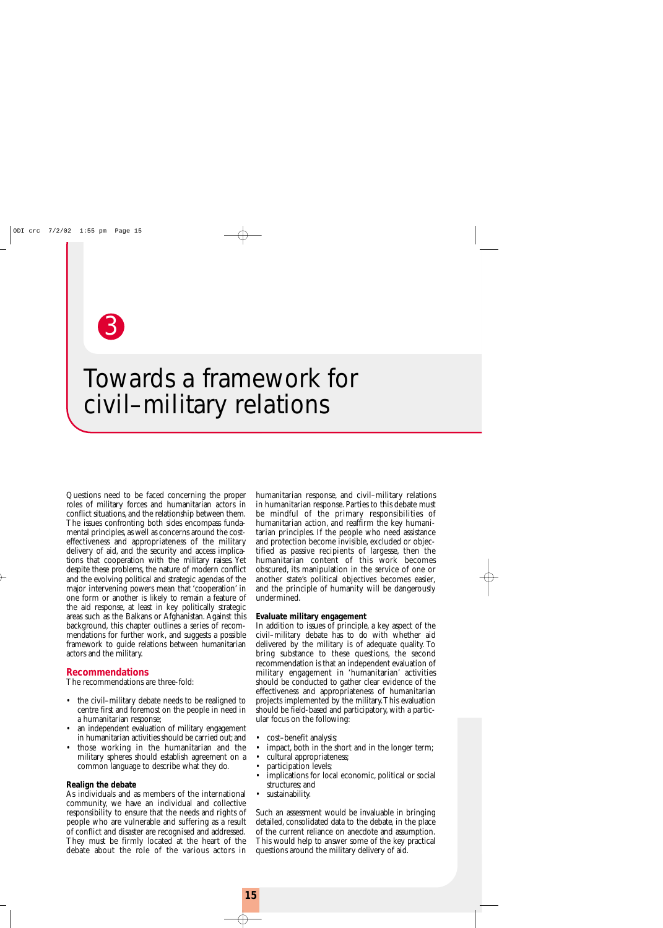

## Towards a framework for civil–military relations

Questions need to be faced concerning the proper roles of military forces and humanitarian actors in conflict situations, and the relationship between them. The issues confronting both sides encompass fundamental principles, as well as concerns around the costeffectiveness and appropriateness of the military delivery of aid, and the security and access implications that cooperation with the military raises. Yet despite these problems, the nature of modern conflict and the evolving political and strategic agendas of the major intervening powers mean that 'cooperation' in one form or another is likely to remain a feature of the aid response, at least in key politically strategic areas such as the Balkans or Afghanistan. Against this background, this chapter outlines a series of recommendations for further work, and suggests a possible framework to guide relations between humanitarian actors and the military.

#### **Recommendations**

The recommendations are three-fold:

- the civil–military debate needs to be realigned to centre first and foremost on the people in need in a humanitarian response;
- an independent evaluation of military engagement in humanitarian activities should be carried out;and
- those working in the humanitarian and the military spheres should establish agreement on a common language to describe what they do.

#### **Realign the debate**

As individuals and as members of the international community, we have an individual and collective responsibility to ensure that the needs and rights of people who are vulnerable and suffering as a result of conflict and disaster are recognised and addressed. They must be firmly located at the heart of the debate about the role of the various actors in

humanitarian response, and civil–military relations in humanitarian response. Parties to this debate must be mindful of the primary responsibilities of humanitarian action, and reaffirm the key humanitarian principles. If the people who need assistance and protection become invisible, excluded or objectified as passive recipients of largesse, then the humanitarian content of this work becomes obscured, its manipulation in the service of one or another state's political objectives becomes easier, and the principle of humanity will be dangerously undermined.

#### **Evaluate military engagement**

In addition to issues of principle, a key aspect of the civil–military debate has to do with whether aid delivered by the military is of adequate quality. To bring substance to these questions, the second recommendation is that an independent evaluation of military engagement in 'humanitarian' activities should be conducted to gather clear evidence of the effectiveness and appropriateness of humanitarian projects implemented by the military.This evaluation should be field-based and participatory, with a particular focus on the following:

- cost–benefit analysis;
- impact, both in the short and in the longer term;
- cultural appropriateness;
- participation levels;
- implications for local economic, political or social structures; and
- sustainability.

Such an assessment would be invaluable in bringing detailed, consolidated data to the debate, in the place of the current reliance on anecdote and assumption. This would help to answer some of the key practical questions around the military delivery of aid.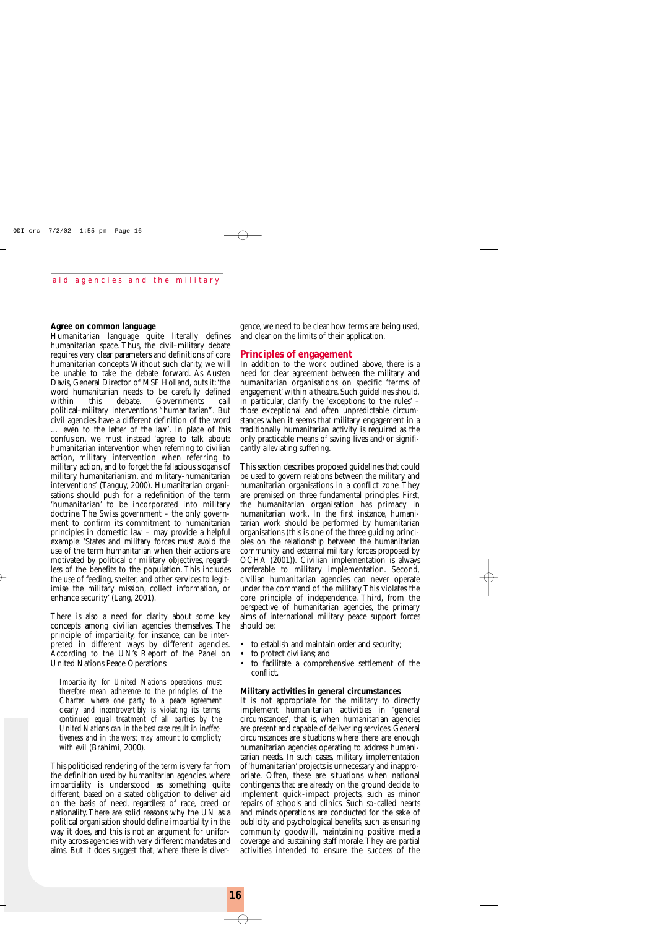#### **Agree on common language**

Humanitarian language quite literally defines humanitarian space. Thus, the civil–military debate requires very clear parameters and definitions of core humanitarian concepts.Without such clarity, we will be unable to take the debate forward. As Austen Davis, General Director of MSF Holland, puts it:'the word humanitarian needs to be carefully defined within this debate. Governments call political–military interventions "humanitarian". But civil agencies have a different definition of the word … even to the letter of the law'. In place of this confusion, we must instead 'agree to talk about: humanitarian intervention when referring to civilian action, military intervention when referring to military action, and to forget the fallacious slogans of military humanitarianism, and military-humanitarian interventions' (Tanguy, 2000). Humanitarian organisations should push for a redefinition of the term 'humanitarian' to be incorporated into military doctrine.The Swiss government – the only government to confirm its commitment to humanitarian principles in domestic law – may provide a helpful example: 'States and military forces must avoid the use of the term humanitarian when their actions are motivated by political or military objectives, regardless of the benefits to the population. This includes the use of feeding, shelter, and other services to legitimise the military mission, collect information, or enhance security' (Lang, 2001).

There is also a need for clarity about some key concepts among civilian agencies themselves. The principle of impartiality, for instance, can be interpreted in different ways by different agencies. According to the UN's Report of the Panel on United Nations Peace Operations:

*Impartiality for United Nations operations must therefore mean adherence to the principles of the Charter: where one party to a peace agreement clearly and incontrovertibly is violating its terms, continued equal treatment of all parties by the United Nations can in the best case result in ineffectiveness and in the worst may amount to complicity with evil* (Brahimi, 2000).

This politicised rendering of the term is very far from the definition used by humanitarian agencies, where impartiality is understood as something quite different, based on a stated obligation to deliver aid on the basis of need, regardless of race, creed or nationality.There are solid reasons why the UN as a political organisation should define impartiality in the way it does, and this is not an argument for uniformity across agencies with very different mandates and aims. But it does suggest that, where there is divergence, we need to be clear how terms are being used, and clear on the limits of their application.

#### **Principles of engagement**

In addition to the work outlined above, there is a need for clear agreement between the military and humanitarian organisations on specific 'terms of engagement'within a theatre.Such guidelines should, in particular, clarify the 'exceptions to the rules' – those exceptional and often unpredictable circumstances when it seems that military engagement in a traditionally humanitarian activity is required as the only practicable means of saving lives and/or significantly alleviating suffering.

This section describes proposed guidelines that could be used to govern relations between the military and humanitarian organisations in a conflict zone. They are premised on three fundamental principles. First, the humanitarian organisation has primacy in humanitarian work. In the first instance, humanitarian work should be performed by humanitarian organisations (this is one of the three guiding principles on the relationship between the humanitarian community and external military forces proposed by OCHA (2001)). Civilian implementation is always preferable to military implementation. Second, civilian humanitarian agencies can never operate under the command of the military.This violates the core principle of independence. Third, from the perspective of humanitarian agencies, the primary aims of international military peace support forces should be:

- to establish and maintain order and security;
- to protect civilians; and
- to facilitate a comprehensive settlement of the conflict.

#### **Military activities in general circumstances**

It is not appropriate for the military to directly implement humanitarian activities in 'general circumstances', that is, when humanitarian agencies are present and capable of delivering services. General circumstances are situations where there are enough humanitarian agencies operating to address humanitarian needs. In such cases, military implementation of 'humanitarian' projects is unnecessary and inappropriate. Often, these are situations when national contingents that are already on the ground decide to implement quick-impact projects, such as minor repairs of schools and clinics. Such so-called hearts and minds operations are conducted for the sake of publicity and psychological benefits, such as ensuring community goodwill, maintaining positive media coverage and sustaining staff morale.They are partial activities intended to ensure the success of the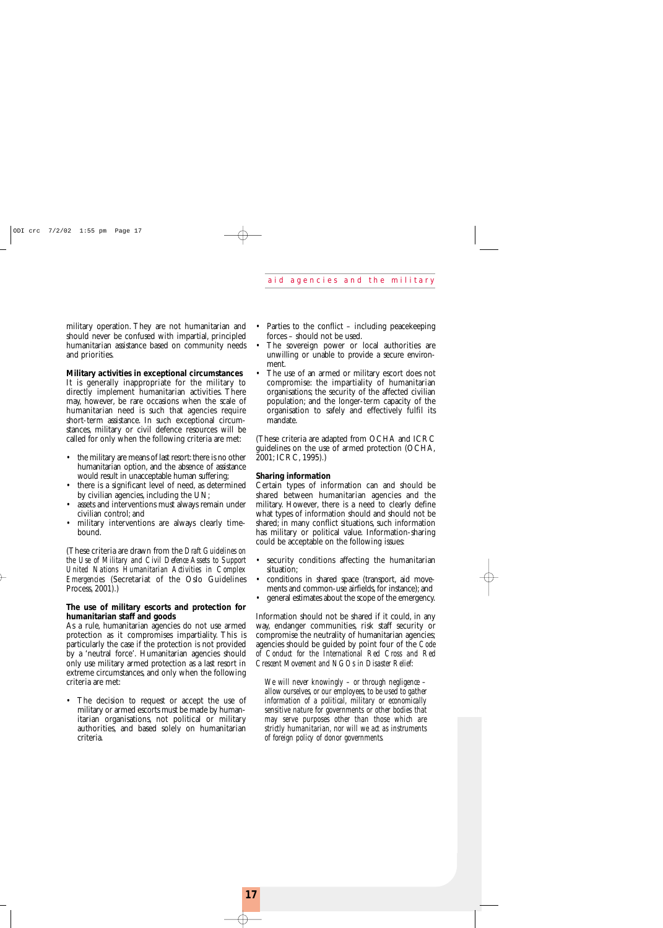military operation. They are not humanitarian and should never be confused with impartial, principled humanitarian assistance based on community needs and priorities.

#### **Military activities in exceptional circumstances**

It is generally inappropriate for the military to directly implement humanitarian activities. There may, however, be rare occasions when the scale of humanitarian need is such that agencies require short-term assistance. In such exceptional circumstances, military or civil defence resources will be called for only when the following criteria are met:

- the military are means of last resort: there is no other humanitarian option, and the absence of assistance would result in unacceptable human suffering;
- there is a significant level of need, as determined by civilian agencies, including the UN;
- assets and interventions must always remain under civilian control; and
- military interventions are always clearly timebound.

(These criteria are drawn from the *Draft Guidelines on the Use of Military and Civil Defence Assets to Support United Nations Humanitarian Activities in Complex Emergencies* (Secretariat of the Oslo Guidelines Process, 2001).)

#### **The use of military escorts and protection for humanitarian staff and goods**

As a rule, humanitarian agencies do not use armed protection as it compromises impartiality. This is particularly the case if the protection is not provided by a 'neutral force'. Humanitarian agencies should only use military armed protection as a last resort in extreme circumstances, and only when the following criteria are met:

• The decision to request or accept the use of military or armed escorts must be made by humanitarian organisations, not political or military authorities, and based solely on humanitarian criteria.

- Parties to the conflict  $-$  including peace keeping forces – should not be used.
- The sovereign power or local authorities are unwilling or unable to provide a secure environment.
- The use of an armed or military escort does not compromise: the impartiality of humanitarian organisations; the security of the affected civilian population; and the longer-term capacity of the organisation to safely and effectively fulfil its mandate.

(These criteria are adapted from OCHA and ICRC guidelines on the use of armed protection (OCHA, 2001; ICRC, 1995).)

#### **Sharing information**

Certain types of information can and should be shared between humanitarian agencies and the military. However, there is a need to clearly define what types of information should and should not be shared; in many conflict situations, such information has military or political value. Information-sharing could be acceptable on the following issues:

- security conditions affecting the humanitarian situation;
- conditions in shared space (transport, aid movements and common-use airfields, for instance); and
- general estimates about the scope of the emergency.

Information should not be shared if it could, in any way, endanger communities, risk staff security or compromise the neutrality of humanitarian agencies; agencies should be guided by point four of the *Code of Conduct for the International Red Cross and Red Crescent Movement and NGOs in Disaster Relief*:

*We will never knowingly – or through negligence – allow ourselves, or our employees, to be used to gather information of a political, military or economically sensitive nature for governments or other bodies that may serve purposes other than those which are strictly humanitarian, nor will we act as instruments of foreign policy of donor governments.*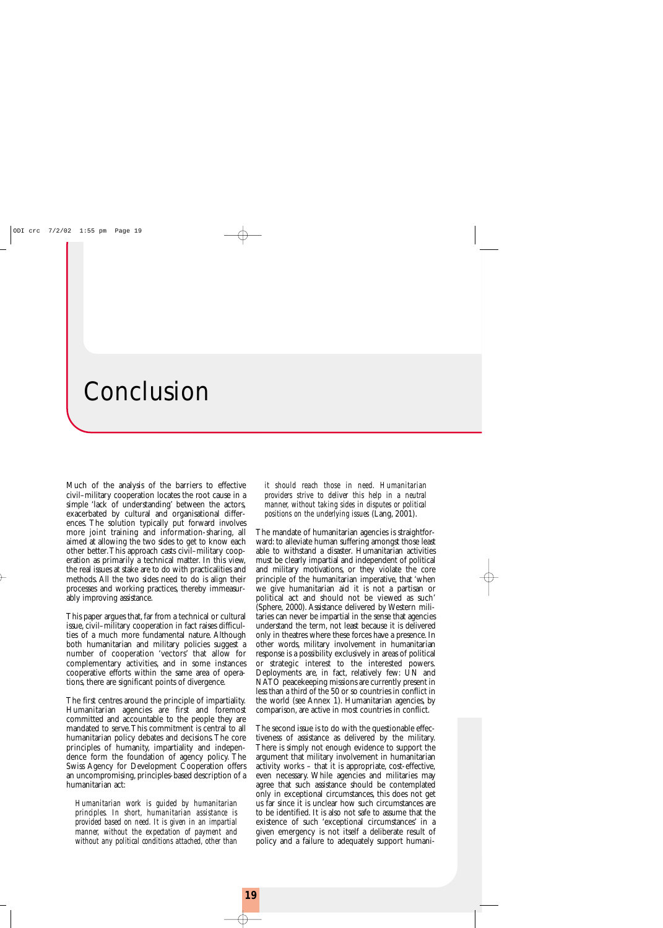## Conclusion

Much of the analysis of the barriers to effective civil–military cooperation locates the root cause in a simple 'lack of understanding' between the actors, exacerbated by cultural and organisational differences. The solution typically put forward involves more joint training and information-sharing, all aimed at allowing the two sides to get to know each other better.This approach casts civil–military cooperation as primarily a technical matter. In this view, the real issues at stake are to do with practicalities and methods. All the two sides need to do is align their processes and working practices, thereby immeasurably improving assistance.

This paper argues that, far from a technical or cultural issue, civil–military cooperation in fact raises difficulties of a much more fundamental nature. Although both humanitarian and military policies suggest a number of cooperation 'vectors' that allow for complementary activities, and in some instances cooperative efforts within the same area of operations, there are significant points of divergence.

The first centres around the principle of impartiality. Humanitarian agencies are first and foremost committed and accountable to the people they are mandated to serve.This commitment is central to all humanitarian policy debates and decisions.The core principles of humanity, impartiality and independence form the foundation of agency policy. The Swiss Agency for Development Cooperation offers an uncompromising, principles-based description of a humanitarian act:

*Humanitarian work is guided by humanitarian principles. In short, humanitarian assistance is provided based on need. It is given in an impartial manner, without the expectation of payment and without any political conditions attached, other than* *it should reach those in need. Humanitarian providers strive to deliver this help in a neutral manner, without taking sides in disputes or political positions on the underlying issues* (Lang, 2001).

The mandate of humanitarian agencies is straightforward: to alleviate human suffering amongst those least able to withstand a disaster. Humanitarian activities must be clearly impartial and independent of political and military motivations, or they violate the core principle of the humanitarian imperative, that 'when we give humanitarian aid it is not a partisan or political act and should not be viewed as such' (Sphere, 2000). Assistance delivered by Western militaries can never be impartial in the sense that agencies understand the term, not least because it is delivered only in theatres where these forces have a presence. In other words, military involvement in humanitarian response is a possibility exclusively in areas of political or strategic interest to the interested powers. Deployments are, in fact, relatively few: UN and NATO peacekeeping missions are currently present in less than a third of the 50 or so countries in conflict in the world (see Annex 1). Humanitarian agencies, by comparison, are active in most countries in conflict.

The second issue is to do with the questionable effectiveness of assistance as delivered by the military. There is simply not enough evidence to support the argument that military involvement in humanitarian activity works – that it is appropriate, cost-effective, even necessary. While agencies and militaries may agree that such assistance should be contemplated only in exceptional circumstances, this does not get us far since it is unclear how such circumstances are to be identified. It is also not safe to assume that the existence of such 'exceptional circumstances' in a given emergency is not itself a deliberate result of policy and a failure to adequately support humani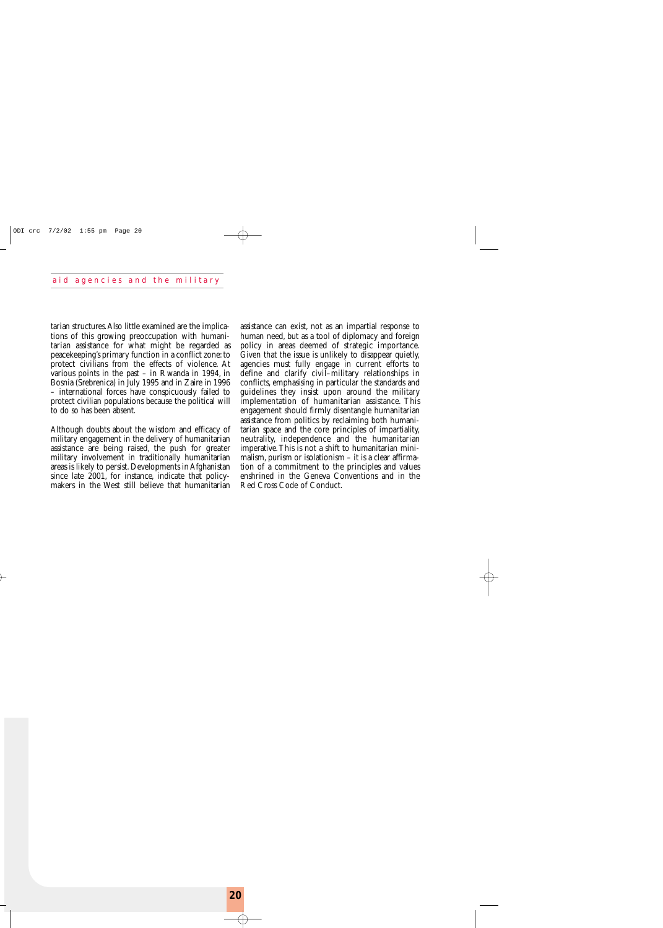tarian structures.Also little examined are the implications of this growing preoccupation with humanitarian assistance for what might be regarded as peacekeeping's primary function in a conflict zone: to protect civilians from the effects of violence. At various points in the past – in Rwanda in 1994, in Bosnia (Srebrenica) in July 1995 and in Zaire in 1996 – international forces have conspicuously failed to protect civilian populations because the political will to do so has been absent.

Although doubts about the wisdom and efficacy of military engagement in the delivery of humanitarian assistance are being raised, the push for greater military involvement in traditionally humanitarian areas is likely to persist. Developments in Afghanistan since late 2001, for instance, indicate that policymakers in the West still believe that humanitarian

assistance can exist, not as an impartial response to human need, but as a tool of diplomacy and foreign policy in areas deemed of strategic importance. Given that the issue is unlikely to disappear quietly, agencies must fully engage in current efforts to define and clarify civil–military relationships in conflicts, emphasising in particular the standards and guidelines they insist upon around the military implementation of humanitarian assistance. This engagement should firmly disentangle humanitarian assistance from politics by reclaiming both humanitarian space and the core principles of impartiality, neutrality, independence and the humanitarian imperative.This is not a shift to humanitarian minimalism, purism or isolationism – it is a clear affirmation of a commitment to the principles and values enshrined in the Geneva Conventions and in the Red Cross Code of Conduct.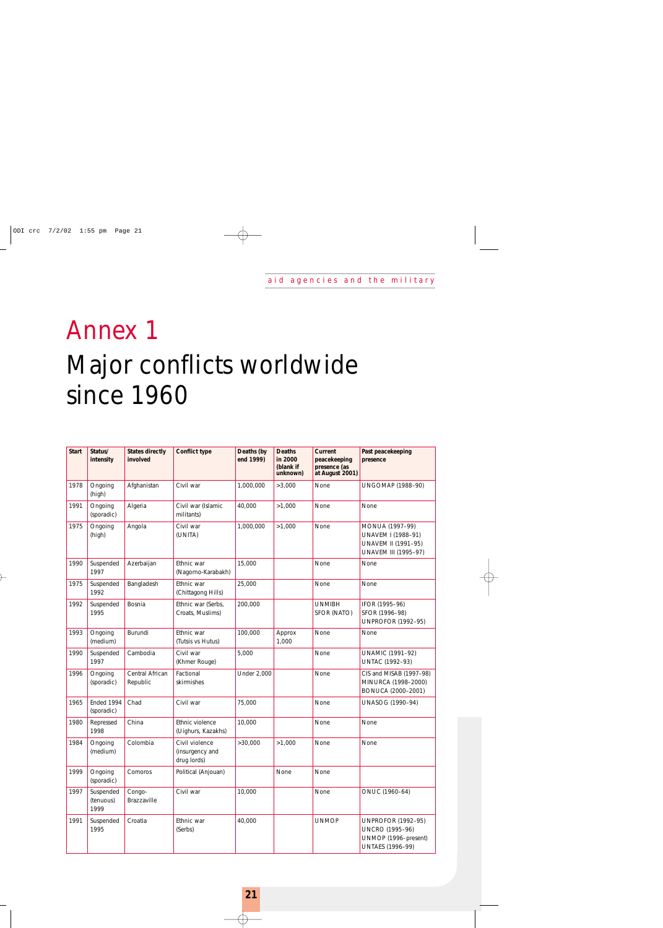# Annex 1 Major conflicts worldwide since 1960

| <b>Start</b> | Status/<br>intensity           | <b>States directly</b><br>involved | <b>Conflict type</b>                             | Deaths (by<br>end 1999) | <b>Deaths</b><br>in 2000<br>(blank if<br>unknown) | Current<br>peacekeeping<br>presence (as<br>at August 2001) | Past peacekeeping<br>presence                                                                          |
|--------------|--------------------------------|------------------------------------|--------------------------------------------------|-------------------------|---------------------------------------------------|------------------------------------------------------------|--------------------------------------------------------------------------------------------------------|
| 1978         | Ongoing<br>(high)              | Afghanistan                        | Civil war                                        | 1,000,000               | >3,000                                            | None                                                       | <b>UNGOMAP (1988-90)</b>                                                                               |
| 1991         | Ongoing<br>(sporadic)          | Algeria                            | Civil war (Islamic<br>militants)                 | 40,000                  | >1,000                                            | None                                                       | None                                                                                                   |
| 1975         | Ongoing<br>(high)              | Angola                             | Civil war<br>(UNITA)                             | 1,000,000               | >1,000                                            | None                                                       | MONUA (1997-99)<br>UNAVEM I (1988-91)<br>UNAVEM II (1991-95)<br>UNAVEM III (1995-97)                   |
| 1990         | Suspended<br>1997              | Azerbaijan                         | Ethnic war<br>(Nagorno-Karabakh)                 | 15,000                  |                                                   | None                                                       | None                                                                                                   |
| 1975         | Suspended<br>1992              | Bangladesh                         | Ethnic war<br>(Chittagong Hills)                 | 25,000                  |                                                   | None                                                       | None                                                                                                   |
| 1992         | Suspended<br>1995              | Bosnia                             | Ethnic war (Serbs,<br>Croats, Muslims)           | 200,000                 |                                                   | <b>UNMIBH</b><br>SFOR (NATO)                               | IFOR (1995-96)<br>SFOR (1996-98)<br><b>UNPROFOR (1992-95)</b>                                          |
| 1993         | Ongoing<br>(medium)            | Burundi                            | Ethnic war<br>(Tutsis vs Hutus)                  | 100,000                 | Approx<br>1,000                                   | None                                                       | None                                                                                                   |
| 1990         | Suspended<br>1997              | Cambodia                           | Civil war<br>(Khmer Rouge)                       | 5,000                   |                                                   | None                                                       | <b>UNAMIC (1991-92)</b><br>UNTAC (1992-93)                                                             |
| 1996         | Ongoing<br>(sporadic)          | Central African<br>Republic        | Factional<br>skirmishes                          | <b>Under 2,000</b>      |                                                   | None                                                       | CIS and MISAB (1997-98)<br>MINURCA (1998-2000)<br>BONUCA (2000-2001)                                   |
| 1965         | Ended 1994<br>(sporadic)       | Chad                               | Civil war                                        | 75,000                  |                                                   | None                                                       | UNASOG (1990-94)                                                                                       |
| 1980         | Repressed<br>1998              | China                              | Ethnic violence<br>(Uighurs, Kazakhs)            | 10,000                  |                                                   | None                                                       | None                                                                                                   |
| 1984         | Ongoing<br>(medium)            | Colombia                           | Civil violence<br>(insurgency and<br>drug lords) | >30,000                 | >1,000                                            | None                                                       | None                                                                                                   |
| 1999         | Ongoing<br>(sporadic)          | Comoros                            | Political (Anjouan)                              |                         | None                                              | None                                                       |                                                                                                        |
| 1997         | Suspended<br>(tenuous)<br>1999 | Congo-<br>Brazzaville              | Civil war                                        | 10,000                  |                                                   | None                                                       | ONUC (1960-64)                                                                                         |
| 1991         | Suspended<br>1995              | Croatia                            | Ethnic war<br>(Serbs)                            | 40,000                  |                                                   | <b>UNMOP</b>                                               | <b>UNPROFOR (1992-95)</b><br><b>UNCRO (1995-96)</b><br>UNMOP (1996-present)<br><b>UNTAES (1996-99)</b> |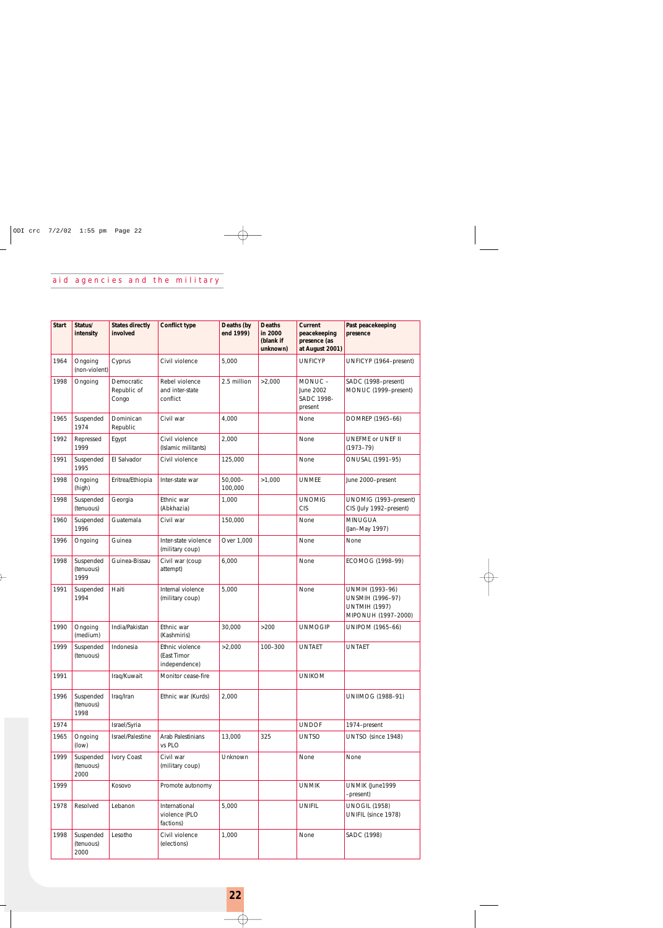### aid agencies and the military

| <b>Start</b> | Status/<br>intensity           | <b>States directly</b><br>involved | <b>Conflict type</b>                            | Deaths (by<br>end 1999) | <b>Deaths</b><br>in 2000<br>(blank if<br>unknown) | Current<br>peacekeeping<br>presence (as<br>at August 2001) | Past peacekeeping<br>presence                                                      |
|--------------|--------------------------------|------------------------------------|-------------------------------------------------|-------------------------|---------------------------------------------------|------------------------------------------------------------|------------------------------------------------------------------------------------|
| 1964         | Ongoing<br>(non-violent)       | Cyprus                             | Civil violence                                  | 5,000                   |                                                   | <b>UNFICYP</b>                                             | UNFICYP (1964–present)                                                             |
| 1998         | Ongoing                        | Democratic<br>Republic of<br>Congo | Rebel violence<br>and inter-state<br>conflict   | 2.5 million             | >2,000                                            | MONUC-<br>June 2002<br>SADC 1998-<br>present               | SADC (1998-present)<br>MONUC (1999-present)                                        |
| 1965         | Suspended<br>1974              | Dominican<br>Republic              | Civil war                                       | 4.000                   |                                                   | None                                                       | DOMREP (1965-66)                                                                   |
| 1992         | Repressed<br>1999              | Egypt                              | Civil violence<br>(Islamic militants)           | 2,000                   |                                                   | None                                                       | UNEFME or UNEF II<br>$(1973 - 79)$                                                 |
| 1991         | Suspended<br>1995              | El Salvador                        | Civil violence                                  | 125,000                 |                                                   | None                                                       | ONUSAL (1991-95)                                                                   |
| 1998         | Ongoing<br>(high)              | Eritrea/Ethiopia                   | Inter-state war                                 | $50,000 -$<br>100,000   | >1,000                                            | <b>UNMEE</b>                                               | June 2000-present                                                                  |
| 1998         | Suspended<br>(tenuous)         | Georgia                            | Ethnic war<br>(Abkhazia)                        | 1,000                   |                                                   | <b>UNOMIG</b><br><b>CIS</b>                                | UNOMIG (1993-present)<br>CIS (July 1992-present)                                   |
| 1960         | Suspended<br>1996              | Guatemala                          | Civil war                                       | 150,000                 |                                                   | None                                                       | <b>MINUGUA</b><br>(Jan-May 1997)                                                   |
| 1996         | Ongoing                        | Guinea                             | Inter-state violence<br>(military coup)         | Over 1,000              |                                                   | None                                                       | None                                                                               |
| 1998         | Suspended<br>(tenuous)<br>1999 | Guinea-Bissau                      | Civil war (coup<br>attempt)                     | 6,000                   |                                                   | None                                                       | ECOMOG (1998-99)                                                                   |
| 1991         | Suspended<br>1994              | Haiti                              | Internal violence<br>(military coup)            | 5,000                   |                                                   | None                                                       | UNMIH (1993-96)<br>UNSMIH (1996-97)<br><b>UNTMIH (1997)</b><br>MIPONUH (1997-2000) |
| 1990         | Ongoing<br>(medium)            | India/Pakistan                     | Ethnic war<br>(Kashmiris)                       | 30,000                  | $>200$                                            | <b>UNMOGIP</b>                                             | <b>UNIPOM (1965-66)</b>                                                            |
| 1999         | Suspended<br>(tenuous)         | Indonesia                          | Ethnic violence<br>(East Timor<br>independence) | >2,000                  | 100-300                                           | <b>UNTAET</b>                                              | <b>UNTAET</b>                                                                      |
| 1991         |                                | Iraq/Kuwait                        | Monitor cease-fire                              |                         |                                                   | <b>UNIKOM</b>                                              |                                                                                    |
| 1996         | Suspended<br>(tenuous)<br>1998 | Iraq/Iran                          | Ethnic war (Kurds)                              | 2,000                   |                                                   |                                                            | <b>UNIIMOG (1988-91)</b>                                                           |
| 1974         |                                | Israel/Syria                       |                                                 |                         |                                                   | <b>UNDOF</b>                                               | 1974-present                                                                       |
| 1965         | Ongoing<br>(low)               | Israel/Palestine                   | Arab Palestinians<br>vs PLO                     | 13,000                  | 325                                               | <b>UNTSO</b>                                               | UNTSO (since 1948)                                                                 |
| 1999         | Suspended<br>(tenuous)<br>2000 | Ivory Coast                        | Civil war<br>(military coup)                    | Unknown                 |                                                   | None                                                       | None                                                                               |
| 1999         |                                | Kosovo                             | Promote autonomy                                |                         |                                                   | <b>UNMIK</b>                                               | UNMIK (June1999<br>-present)                                                       |
| 1978         | Resolved                       | Lebanon                            | International<br>violence (PLO<br>factions)     | 5,000                   |                                                   | <b>UNIFIL</b>                                              | <b>UNOGIL (1958)</b><br>UNIFIL (since 1978)                                        |
| 1998         | Suspended<br>(tenuous)<br>2000 | Lesotho                            | Civil violence<br>(elections)                   | 1,000                   |                                                   | None                                                       | SADC (1998)                                                                        |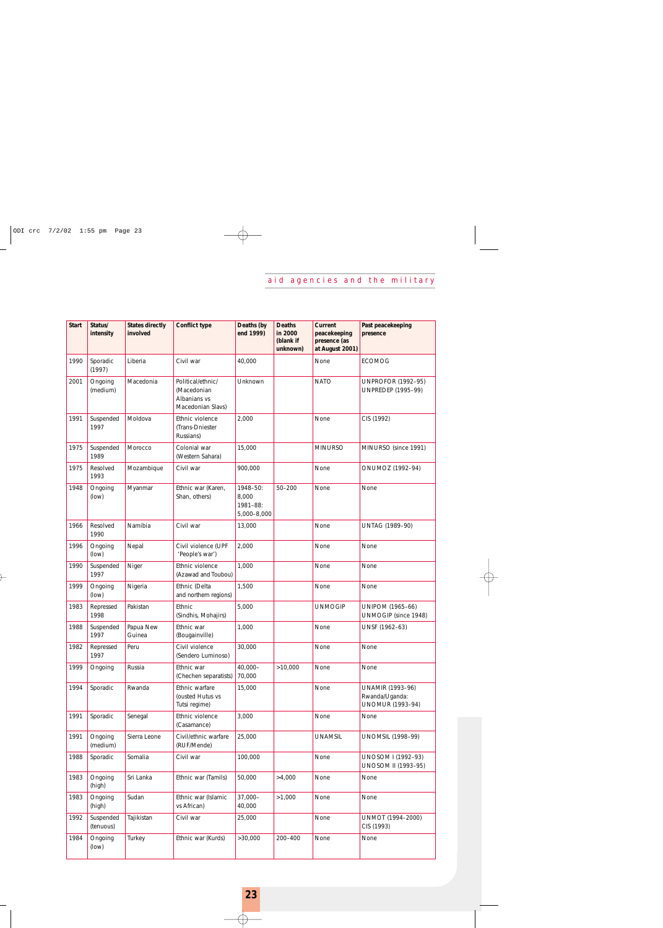| <b>Start</b> | Status/<br>intensity   | <b>States directly</b><br>involved | <b>Conflict type</b>                                                  | Deaths (by<br>end 1999)                      | <b>Deaths</b><br>in 2000<br>(blank if<br>unknown) | Current<br>peacekeeping<br>presence (as<br>at August 2001) | Past peacekeeping<br>presence                                        |
|--------------|------------------------|------------------------------------|-----------------------------------------------------------------------|----------------------------------------------|---------------------------------------------------|------------------------------------------------------------|----------------------------------------------------------------------|
| 1990         | Sporadic<br>(1997)     | Liberia                            | Civil war                                                             | 40,000                                       |                                                   | None                                                       | <b>ECOMOG</b>                                                        |
| 2001         | Ongoing<br>(medium)    | Macedonia                          | Political/ethnic/<br>(Macedonian<br>Albanians vs<br>Macedonian Slavs) | Unknown                                      |                                                   | <b>NATO</b>                                                | <b>UNPROFOR (1992-95)</b><br><b>UNPREDEP (1995-99)</b>               |
| 1991         | Suspended<br>1997      | Moldova                            | Ethnic violence<br>(Trans-Dniester<br>Russians)                       | 2,000                                        |                                                   | None                                                       | CIS (1992)                                                           |
| 1975         | Suspended<br>1989      | Morocco                            | Colonial war<br>(Western Sahara)                                      | 15,000                                       |                                                   | <b>MINURSO</b>                                             | MINURSO (since 1991)                                                 |
| 1975         | Resolved<br>1993       | Mozambique                         | Civil war                                                             | 900,000                                      |                                                   | None                                                       | ONUMOZ (1992-94)                                                     |
| 1948         | Ongoing<br>(low)       | Myanmar                            | Ethnic war (Karen,<br>Shan, others)                                   | 1948-50:<br>8,000<br>1981-88:<br>5,000-8,000 | $50 - 200$                                        | None                                                       | None                                                                 |
| 1966         | Resolved<br>1990       | Namibia                            | Civil war                                                             | 13,000                                       |                                                   | None                                                       | UNTAG (1989-90)                                                      |
| 1996         | Ongoing<br>(low)       | Nepal                              | Civil violence (UPF<br>'People's war')                                | 2,000                                        |                                                   | None                                                       | None                                                                 |
| 1990         | Suspended<br>1997      | Niger                              | Ethnic violence<br>(Azawad and Toubou)                                | 1,000                                        |                                                   | None                                                       | None                                                                 |
| 1999         | Ongoing<br>(low)       | Nigeria                            | Ethnic (Delta<br>and northern regions)                                | 1,500                                        |                                                   | None                                                       | None                                                                 |
| 1983         | Repressed<br>1998      | Pakistan                           | Ethnic<br>(Sindhis, Mohajirs)                                         | 5,000                                        |                                                   | <b>UNMOGIP</b>                                             | <b>UNIPOM (1965-66)</b><br>UNMOGIP (since 1948)                      |
| 1988         | Suspended<br>1997      | Papua New<br>Guinea                | Ethnic war<br>(Bougainville)                                          | 1,000                                        |                                                   | None                                                       | UNSF (1962-63)                                                       |
| 1982         | Repressed<br>1997      | Peru                               | Civil violence<br>(Sendero Luminoso)                                  | 30,000                                       |                                                   | None                                                       | None                                                                 |
| 1999         | Ongoing                | Russia                             | Ethnic war<br>(Chechen separatists)                                   | 40,000-<br>70,000                            | >10,000                                           | None                                                       | None                                                                 |
| 1994         | Sporadic               | Rwanda                             | Ethnic warfare<br>(ousted Hutus vs<br>Tutsi regime)                   | 15,000                                       |                                                   | None                                                       | <b>UNAMIR (1993-96)</b><br>Rwanda/Uganda:<br><b>UNOMUR (1993-94)</b> |
| 1991         | Sporadic               | Senegal                            | Ethnic violence<br>(Casamance)                                        | 3,000                                        |                                                   | None                                                       | None                                                                 |
| 1991         | Ongoing<br>(medium)    | Sierra Leone                       | Civil/ethnic warfare<br>(RUF/Mende)                                   | 25,000                                       |                                                   | <b>UNAMSIL</b>                                             | <b>UNOMSIL (1998-99)</b>                                             |
| 1988         | Sporadic               | Somalia                            | Civil war                                                             | 100,000                                      |                                                   | None                                                       | UNOSOM I (1992-93)<br><b>UNOSOM II (1993-95)</b>                     |
| 1983         | Ongoing<br>(high)      | Sri Lanka                          | Ethnic war (Tamils)                                                   | 50,000                                       | >4,000                                            | None                                                       | None                                                                 |
| 1983         | Ongoing<br>(high)      | Sudan                              | Ethnic war (Islamic<br>vs African)                                    | $37,000 -$<br>40,000                         | >1,000                                            | None                                                       | None                                                                 |
| 1992         | Suspended<br>(tenuous) | Tajikistan                         | Civil war                                                             | 25,000                                       |                                                   | None                                                       | UNMOT (1994-2000)<br>CIS (1993)                                      |
| 1984         | Ongoing<br>(low)       | Turkey                             | Ethnic war (Kurds)                                                    | >30,000                                      | 200-400                                           | None                                                       | None                                                                 |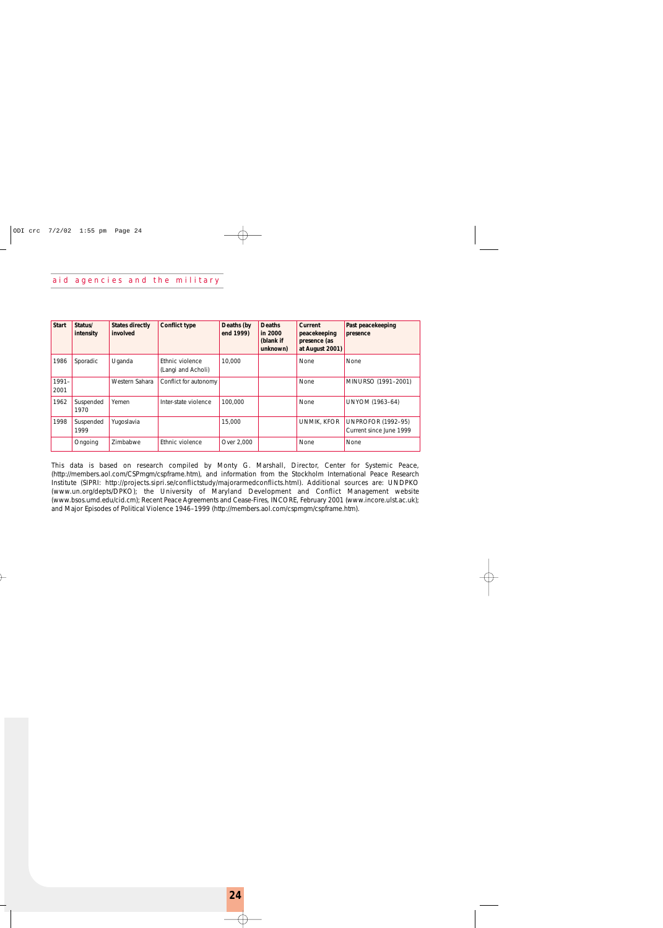#### aid agencies and the military

| <b>Start</b>     | Status/<br>intensity | States directly<br>involved | <b>Conflict type</b>                  | Deaths (by<br>end 1999) | <b>Deaths</b><br>in 2000<br>(blank if<br>unknown) | Current<br>peacekeeping<br>presence (as<br>at August 2001) | Past peacekeeping<br>presence                        |
|------------------|----------------------|-----------------------------|---------------------------------------|-------------------------|---------------------------------------------------|------------------------------------------------------------|------------------------------------------------------|
| 1986             | Sporadic             | Uganda                      | Ethnic violence<br>(Langi and Acholi) | 10,000                  |                                                   | <b>None</b>                                                | None                                                 |
| $1991 -$<br>2001 |                      | Western Sahara              | Conflict for autonomy                 |                         |                                                   | None                                                       | MINURSO (1991-2001)                                  |
| 1962             | Suspended<br>1970    | Yemen                       | Inter-state violence                  | 100,000                 |                                                   | <b>None</b>                                                | <b>UNYOM (1963-64)</b>                               |
| 1998             | Suspended<br>1999    | Yugoslavia                  |                                       | 15,000                  |                                                   | <b>UNMIK, KFOR</b>                                         | <b>UNPROFOR (1992–95)</b><br>Current since June 1999 |
|                  | Ongoing              | Zimbabwe                    | Ethnic violence                       | Over 2,000              |                                                   | None                                                       | None                                                 |

This data is based on research compiled by Monty G. Marshall, Director, Center for Systemic Peace, (http://members.aol.com/CSPmgm/cspframe.htm), and information from the Stockholm International Peace Research Institute (SIPRI: http://projects.sipri.se/conflictstudy/majorarmedconflicts.html). Additional sources are: UNDPKO (www.un.org/depts/DPKO); the University of Maryland Development and Conflict Management website (www.bsos.umd.edu/cid.cm); Recent Peace Agreements and Cease-Fires, INCORE, February 2001 (www.incore.ulst.ac.uk); and Major Episodes of Political Violence 1946–1999 (http://members.aol.com/cspmgm/cspframe.htm).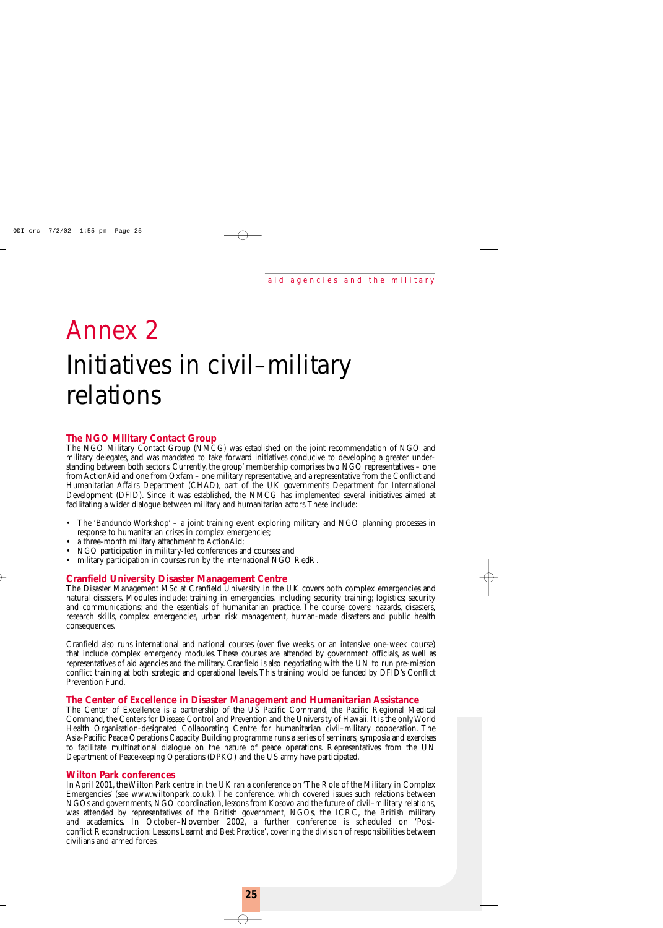# Annex 2 Initiatives in civil–military relations

### **The NGO Military Contact Group**

The NGO Military Contact Group (NMCG) was established on the joint recommendation of NGO and military delegates, and was mandated to take forward initiatives conducive to developing a greater understanding between both sectors. Currently, the group' membership comprises two NGO representatives – one from ActionAid and one from Oxfam – one military representative, and a representative from the Conflict and Humanitarian Affairs Department (CHAD), part of the UK government's Department for International Development (DFID). Since it was established, the NMCG has implemented several initiatives aimed at facilitating a wider dialogue between military and humanitarian actors.These include:

- The 'Bandundo Workshop' a joint training event exploring military and NGO planning processes in response to humanitarian crises in complex emergencies;
- a three-month military attachment to ActionAid;
- NGO participation in military-led conferences and courses; and
- military participation in courses run by the international NGO RedR.

### **Cranfield University Disaster Management Centre**

The Disaster Management MSc at Cranfield University in the UK covers both complex emergencies and natural disasters. Modules include: training in emergencies, including security training; logistics; security and communications; and the essentials of humanitarian practice. The course covers: hazards, disasters, research skills, complex emergencies, urban risk management, human-made disasters and public health consequences.

Cranfield also runs international and national courses (over five weeks, or an intensive one-week course) that include complex emergency modules. These courses are attended by government officials, as well as representatives of aid agencies and the military. Cranfield is also negotiating with the UN to run pre-mission conflict training at both strategic and operational levels.This training would be funded by DFID's Conflict Prevention Fund.

#### **The Center of Excellence in Disaster Management and Humanitarian Assistance**

The Center of Excellence is a partnership of the US Pacific Command, the Pacific Regional Medical Command, the Centers for Disease Control and Prevention and the University of Hawaii. It is the only World Health Organisation-designated Collaborating Centre for humanitarian civil–military cooperation. The Asia-Pacific Peace Operations Capacity Building programme runs a series of seminars, symposia and exercises to facilitate multinational dialogue on the nature of peace operations. Representatives from the UN Department of Peacekeeping Operations (DPKO) and the US army have participated.

#### **Wilton Park conferences**

In April 2001, the Wilton Park centre in the UK ran a conference on 'The Role of the Military in Complex Emergencies' (see www.wiltonpark.co.uk). The conference, which covered issues such relations between NGOs and governments, NGO coordination, lessons from Kosovo and the future of civil–military relations, was attended by representatives of the British government, NGOs, the ICRC, the British military and academics. In October–November 2002, a further conference is scheduled on 'Postconflict Reconstruction: Lessons Learnt and Best Practice', covering the division of responsibilities between civilians and armed forces.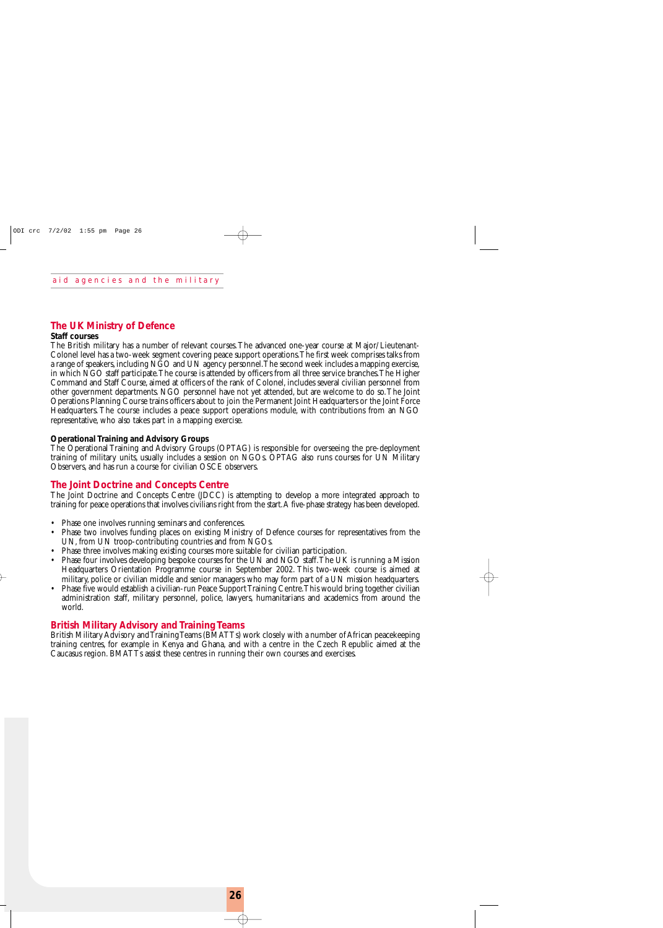### **The UK Ministry of Defence**

#### **Staff courses**

The British military has a number of relevant courses.The advanced one-year course at Major/Lieutenant-Colonel level has a two-week segment covering peace support operations.The first week comprises talks from a range of speakers, including NGO and UN agency personnel.The second week includes a mapping exercise, in which NGO staff participate.The course is attended by officers from all three service branches.The Higher Command and Staff Course, aimed at officers of the rank of Colonel, includes several civilian personnel from other government departments. NGO personnel have not yet attended, but are welcome to do so.The Joint Operations Planning Course trains officers about to join the Permanent Joint Headquarters or the Joint Force Headquarters. The course includes a peace support operations module, with contributions from an NGO representative, who also takes part in a mapping exercise.

#### **Operational Training and Advisory Groups**

The Operational Training and Advisory Groups (OPTAG) is responsible for overseeing the pre-deployment training of military units, usually includes a session on NGOs. OPTAG also runs courses for UN Military Observers, and has run a course for civilian OSCE observers.

#### **The Joint Doctrine and Concepts Centre**

The Joint Doctrine and Concepts Centre (JDCC) is attempting to develop a more integrated approach to training for peace operations that involves civilians right from the start.A five-phase strategy has been developed.

- Phase one involves running seminars and conferences.
- Phase two involves funding places on existing Ministry of Defence courses for representatives from the UN, from UN troop-contributing countries and from NGOs.
- Phase three involves making existing courses more suitable for civilian participation.
- Phase four involves developing bespoke courses for the UN and NGO staff.The UK is running a Mission Headquarters Orientation Programme course in September 2002. This two-week course is aimed at military, police or civilian middle and senior managers who may form part of a UN mission headquarters.
- Phase five would establish a civilian-run Peace Support Training Centre.This would bring together civilian administration staff, military personnel, police, lawyers, humanitarians and academics from around the world.

#### **British Military Advisory and Training Teams**

British Military Advisory and Training Teams (BMATTs) work closely with a number of African peacekeeping training centres, for example in Kenya and Ghana, and with a centre in the Czech Republic aimed at the Caucasus region. BMATTs assist these centres in running their own courses and exercises.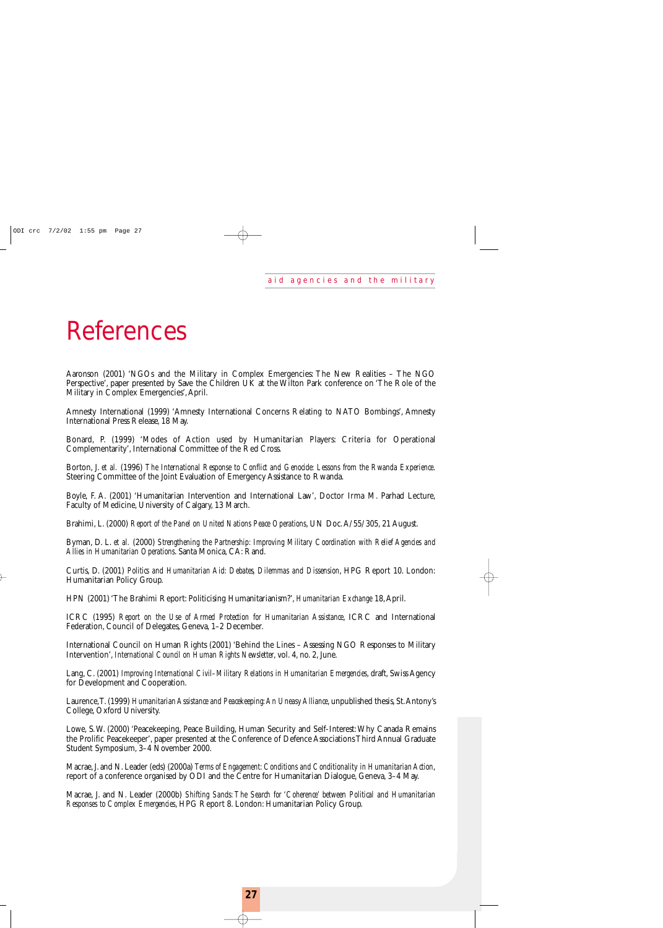## References

Aaronson (2001) 'NGOs and the Military in Complex Emergencies: The New Realities – The NGO Perspective', paper presented by Save the Children UK at the Wilton Park conference on 'The Role of the Military in Complex Emergencies',April.

Amnesty International (1999) 'Amnesty International Concerns Relating to NATO Bombings', Amnesty International Press Release, 18 May.

Bonard, P. (1999) 'Modes of Action used by Humanitarian Players: Criteria for Operational Complementarity', International Committee of the Red Cross.

Borton, J. *et al.* (1996) *The International Response to Conflict and Genocide: Lessons from the Rwanda Experience*. Steering Committee of the Joint Evaluation of Emergency Assistance to Rwanda.

Boyle, F. A. (2001) 'Humanitarian Intervention and International Law', Doctor Irma M. Parhad Lecture, Faculty of Medicine, University of Calgary, 13 March.

Brahimi, L. (2000) *Report of the Panel on United Nations Peace Operations*, UN Doc.A/55/305, 21 August.

Byman, D. L. *et al.* (2000) *Strengthening the Partnership: Improving Military Coordination with Relief Agencies and Allies in Humanitarian Operations*. Santa Monica, CA: Rand.

Curtis, D. (2001) *Politics and Humanitarian Aid: Debates, Dilemmas and Dissension*, HPG Report 10. London: Humanitarian Policy Group.

HPN (2001) 'The Brahimi Report: Politicising Humanitarianism?', *Humanitarian Exchange* 18,April.

ICRC (1995) *Report on the Use of Armed Protection for Humanitarian Assistance*, ICRC and International Federation, Council of Delegates, Geneva, 1–2 December.

International Council on Human Rights (2001) 'Behind the Lines – Assessing NGO Responses to Military Intervention', *International Council on Human Rights Newsletter*, vol. 4, no. 2, June.

Lang, C. (2001) *Improving International Civil–Military Relations in Humanitarian Emergencies*, draft, Swiss Agency for Development and Cooperation.

Laurence,T. (1999) *Humanitarian Assistance and Peacekeeping:An Uneasy Alliance*, unpublished thesis, St.Antony's College, Oxford University.

Lowe, S.W. (2000) 'Peacekeeping, Peace Building, Human Security and Self-Interest:Why Canada Remains the Prolific Peacekeeper', paper presented at the Conference of Defence Associations Third Annual Graduate Student Symposium, 3–4 November 2000.

Macrae, J. and N. Leader (eds) (2000a) *Terms of Engagement: Conditions and Conditionality in Humanitarian Action*, report of a conference organised by ODI and the Centre for Humanitarian Dialogue, Geneva, 3–4 May.

Macrae, J. and N. Leader (2000b) *Shifting Sands: The Search for 'Coherence' between Political and Humanitarian Responses to Complex Emergencies*, HPG Report 8. London: Humanitarian Policy Group.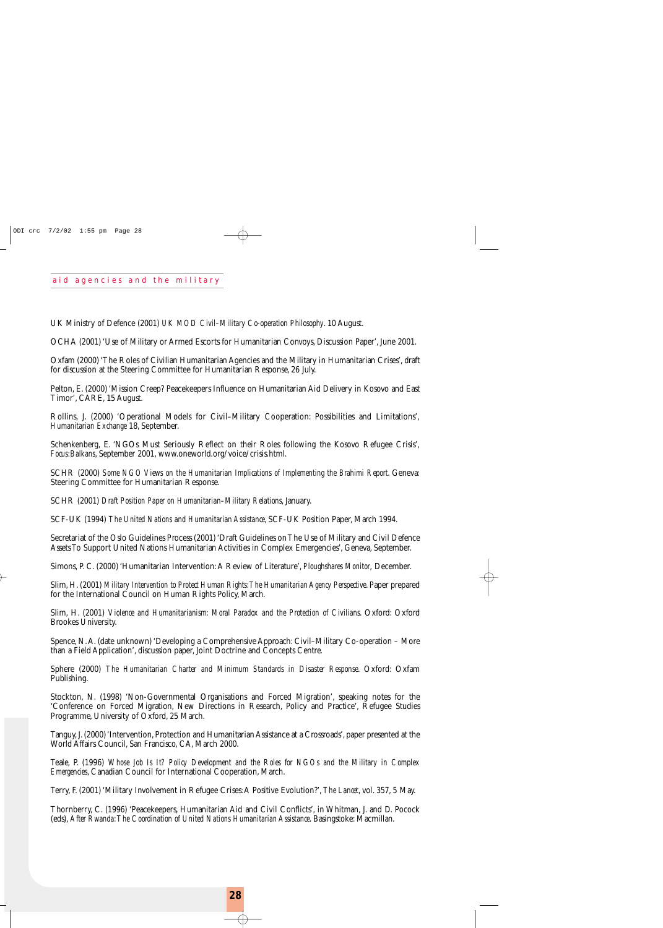UK Ministry of Defence (2001) *UK MOD Civil–Military Co-operation Philosophy*. 10 August.

OCHA (2001) 'Use of Military or Armed Escorts for Humanitarian Convoys, Discussion Paper', June 2001.

Oxfam (2000) 'The Roles of Civilian Humanitarian Agencies and the Military in Humanitarian Crises', draft for discussion at the Steering Committee for Humanitarian Response, 26 July.

Pelton, E. (2000) 'Mission Creep? Peacekeepers Influence on Humanitarian Aid Delivery in Kosovo and East Timor', CARE, 15 August.

Rollins, J. (2000) 'Operational Models for Civil–Military Cooperation: Possibilities and Limitations', *Humanitarian Exchange* 18, September.

Schenkenberg, E. 'NGOs Must Seriously Reflect on their Roles following the Kosovo Refugee Crisis', *Focus:Balkans*, September 2001, www.oneworld.org/voice/crisis.html.

SCHR (2000) *Some NGO Views on the Humanitarian Implications of Implementing the Brahimi Report*. Geneva: Steering Committee for Humanitarian Response.

SCHR (2001) *Draft Position Paper on Humanitarian–Military Relations*, January.

SCF-UK (1994) *The United Nations and Humanitarian Assistance*, SCF-UK Position Paper, March 1994.

Secretariat of the Oslo Guidelines Process (2001) 'Draft Guidelines on The Use of Military and Civil Defence Assets To Support United Nations Humanitarian Activities in Complex Emergencies', Geneva, September.

Simons, P. C. (2000) 'Humanitarian Intervention:A Review of Literature', *Ploughshares Monitor*, December.

Slim, H. (2001) *Military Intervention to Protect Human Rights:The Humanitarian Agency Perspective*. Paper prepared for the International Council on Human Rights Policy, March.

Slim, H. (2001) *Violence and Humanitarianism: Moral Paradox and the Protection of Civilians*. Oxford: Oxford Brookes University.

Spence, N.A. (date unknown) 'Developing a Comprehensive Approach: Civil–Military Co-operation – More than a Field Application', discussion paper, Joint Doctrine and Concepts Centre.

Sphere (2000) *The Humanitarian Charter and Minimum Standards in Disaster Response*. Oxford: Oxfam Publishing.

Stockton, N. (1998) 'Non-Governmental Organisations and Forced Migration', speaking notes for the 'Conference on Forced Migration, New Directions in Research, Policy and Practice', Refugee Studies Programme, University of Oxford, 25 March.

Tanguy, J. (2000) 'Intervention, Protection and Humanitarian Assistance at a Crossroads', paper presented at the World Affairs Council, San Francisco, CA, March 2000.

Teale, P. (1996) *Whose Job Is It? Policy Development and the Roles for NGOs and the Military in Complex Emergencies*, Canadian Council for International Cooperation, March.

Terry, F. (2001) 'Military Involvement in Refugee Crises:A Positive Evolution?', *The Lancet*, vol. 357, 5 May.

Thornberry, C. (1996) 'Peacekeepers, Humanitarian Aid and Civil Conflicts', in Whitman, J. and D. Pocock (eds), *After Rwanda:The Coordination of United Nations Humanitarian Assistance*. Basingstoke: Macmillan.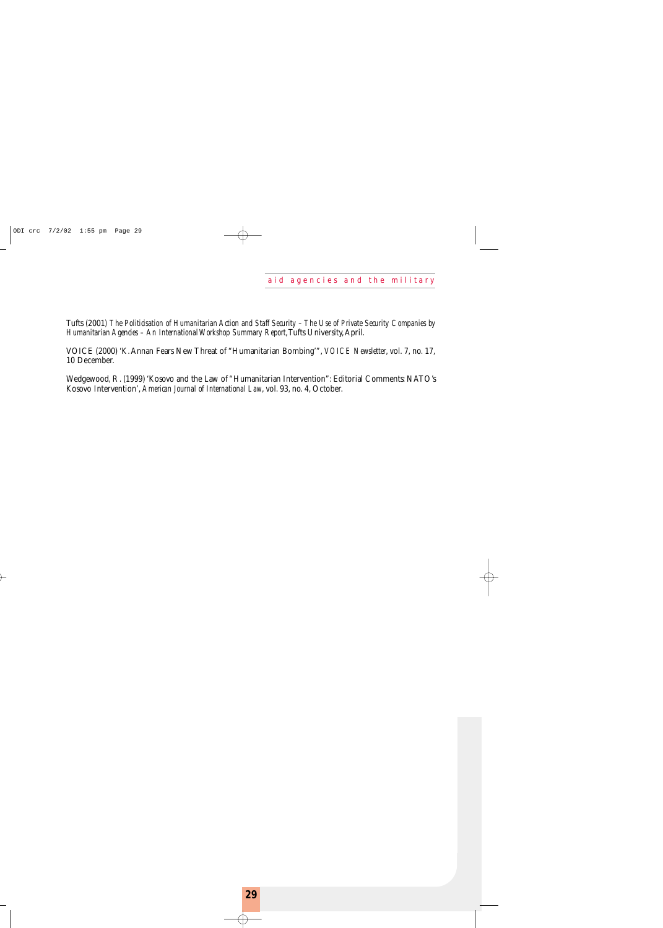Tufts (2001*) The Politicisation of Humanitarian Action and Staff Security – The Use of Private Security Companies by Humanitarian Agencies – An International Workshop Summary Report*, Tufts University, April.

VOICE (2000) 'K.Annan Fears New Threat of "Humanitarian Bombing'", *VOICE Newsletter*, vol. 7, no. 17, 10 December.

Wedgewood, R. (1999) 'Kosovo and the Law of "Humanitarian Intervention": Editorial Comments: NATO's Kosovo Intervention', *American Journal of International Law*, vol. 93, no. 4, October.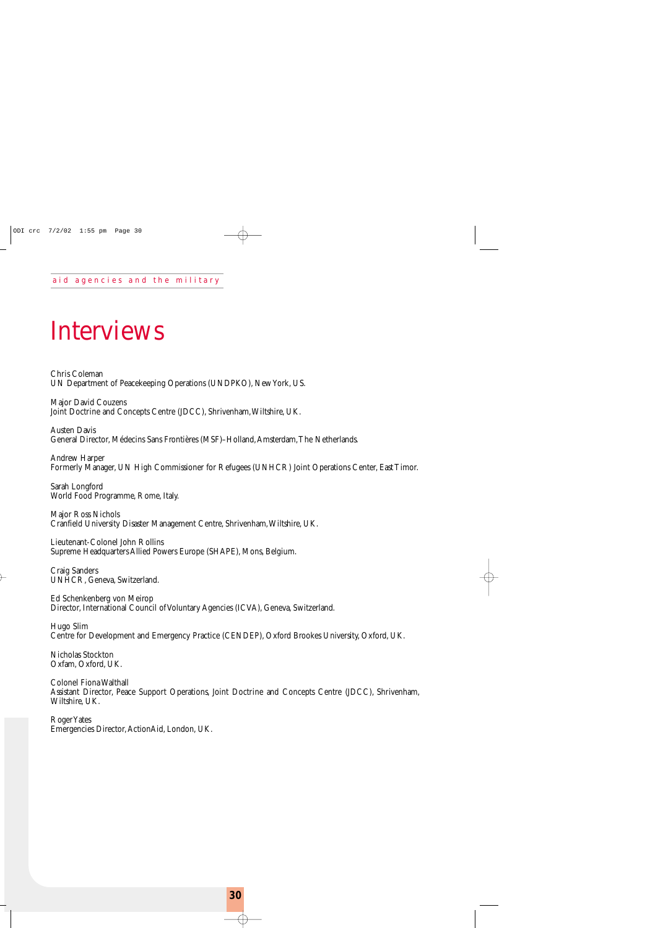## Interviews

Chris Coleman UN Department of Peacekeeping Operations (UNDPKO), New York, US.

Major David Couzens Joint Doctrine and Concepts Centre (JDCC), Shrivenham,Wiltshire, UK.

Austen Davis General Director, Médecins Sans Frontières (MSF)–Holland,Amsterdam,The Netherlands.

Andrew Harper Formerly Manager, UN High Commissioner for Refugees (UNHCR) Joint Operations Center, East Timor.

Sarah Longford World Food Programme, Rome, Italy.

Major Ross Nichols Cranfield University Disaster Management Centre, Shrivenham,Wiltshire, UK.

Lieutenant-Colonel John Rollins Supreme Headquarters Allied Powers Europe (SHAPE), Mons, Belgium.

Craig Sanders UNHCR, Geneva, Switzerland.

Ed Schenkenberg von Meirop Director, International Council of Voluntary Agencies (ICVA), Geneva, Switzerland.

Hugo Slim Centre for Development and Emergency Practice (CENDEP), Oxford Brookes University, Oxford, UK.

Nicholas Stockton Oxfam, Oxford, UK.

Colonel Fiona Walthall Assistant Director, Peace Support Operations, Joint Doctrine and Concepts Centre (JDCC), Shrivenham, Wiltshire, UK.

Roger Yates Emergencies Director,ActionAid, London, UK.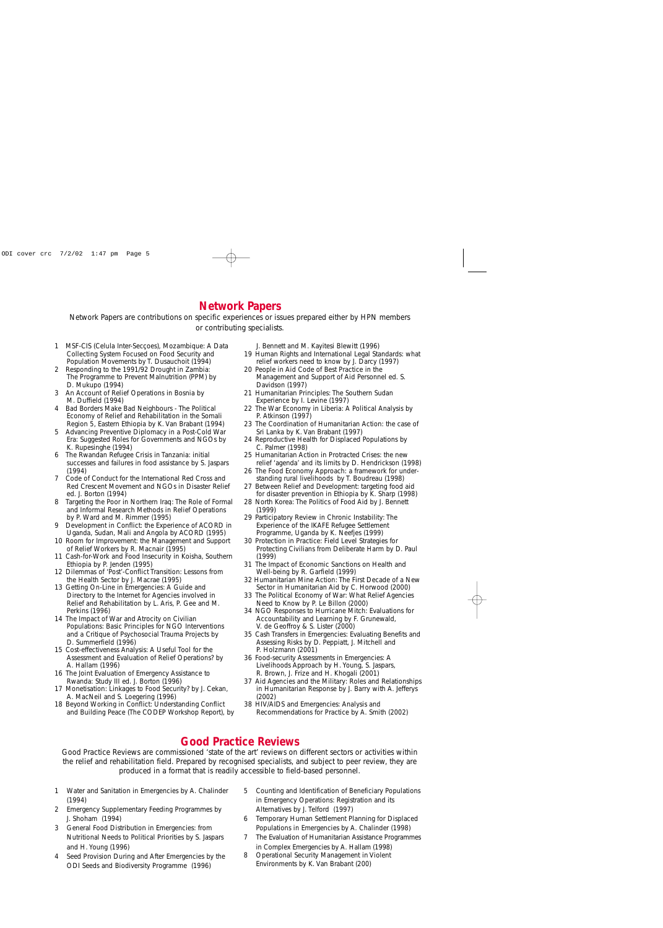## **Network Papers**

Network Papers are contributions on specific experiences or issues prepared either by HPN members or contributing specialists.

- 1 *MSF-CIS (Celula Inter-Secçoes), Mozambique: A Data Collecting System Focused on Food Security and Population Movements* by T. Dusauchoit (1994)
- 2 *Responding to the 1991/92 Drought in Zambia: The Programme to Prevent Malnutrition (PPM)* by D. Mukupo (1994)
- 3 *An Account of Relief Operations in Bosnia* by M. Duffield (1994)
- 4 *Bad Borders Make Bad Neighbours The Political Economy of Relief and Rehabilitation in the Somali Region 5, Eastern Ethiopia* by K. Van Brabant (1994)
- 5 *Advancing Preventive Diplomacy in a Post-Cold War Era: Suggested Roles for Governments and NGOs* by K. Rupesinghe (1994)
- 6 *The Rwandan Refugee Crisis in Tanzania: initial successes and failures in food assistance* by S. Jaspars (1994)
- 7 *Code of Conduct for the International Red Cross and Red Crescent Movement and NGOs in Disaster Relief* ed. J. Borton (1994)
- 8 *Targeting the Poor in Northern Iraq: The Role of Formal and Informal Research Methods in Relief Operations* by P. Ward and M. Rimmer (1995)
- 9 *Development in Conflict: the Experience of ACORD in Uganda, Sudan, Mali and Angola* by ACORD (1995)
- 10 *Room for Improvement: the Management and Support of Relief Workers* by R. Macnair (1995)
- 11 *Cash-for-Work and Food Insecurity in Koisha, Southern Ethiopia* by P. Jenden (1995)
- 12 *Dilemmas of 'Post'-Conflict Transition: Lessons from the Health Sector* by J. Macrae (1995)
- 13 *Getting On-Line in Emergencies: A Guide and Directory to the Internet for Agencies involved in Relief and Rehabilitation* by L. Aris, P. Gee and M. Perkins (1996)
- 14 *The Impact of War and Atrocity on Civilian Populations: Basic Principles for NGO Interventions and a Critique of Psychosocial Trauma Projects* by D. Summerfield (1996)
- 15 *Cost-effectiveness Analysis: A Useful Tool for the Assessment and Evaluation of Relief Operations?* by A. Hallam (1996)
- 16 *The Joint Evaluation of Emergency Assistance to Rwanda: Study III* ed. J. Borton (1996)
- 17 *Monetisation: Linkages to Food Security?* by J. Cekan, A. MacNeil and S. Loegering (1996)
- 18 *Beyond Working in Conflict: Understanding Conflict and Building Peace (The CODEP Workshop Report)*, by

J. Bennett and M. Kayitesi Blewitt (1996)

- 19 *Human Rights and International Legal Standards: what relief workers need to know* by J. Darcy (1997)
- 20 *People in Aid Code of Best Practice in the Management and Support of Aid Personnel* ed. S. Davidson (1997)
- 21 *Humanitarian Principles: The Southern Sudan Experience* by I. Levine (1997)
- 22 *The War Economy in Liberia: A Political Analysis* by P. Atkinson (1997)
- 23 *The Coordination of Humanitarian Action: the case of Sri Lanka* by K. Van Brabant (1997)
- 24 *Reproductive Health for Displaced Populations* by C. Palmer (1998)
- 25 *Humanitarian Action in Protracted Crises: the new relief 'agenda' and its limits* by D. Hendrickson (1998)
- 26 *The Food Economy Approach: a framework for understanding rural livelihoods* by T. Boudreau (1998)
- 27 *Between Relief and Development: targeting food aid for disaster prevention in Ethiopia* by K. Sharp (1998)
- 28 *North Korea: The Politics of Food Aid* by J. Bennett (1999)
- 29 *Participatory Review in Chronic Instability: The Experience of the IKAFE Refugee Settlement Programme, Uganda* by K. Neefjes (1999)
- 30 *Protection in Practice: Field Level Strategies for Protecting Civilians from Deliberate Harm* by D. Paul (1999)
- 31 *The Impact of Economic Sanctions on Health and Well-being* by R. Garfield (1999)
- 32 *Humanitarian Mine Action: The First Decade of a New Sector in Humanitarian Aid* by C. Horwood (2000)
- 33 *The Political Economy of War: What Relief Agencies Need to Know* by P. Le Billon (2000)
- 34 *NGO Responses to Hurricane Mitch: Evaluations for Accountability and Learning* by F. Grunewald, V. de Geoffroy & S. Lister (2000)
- 35 *Cash Transfers in Emergencies: Evaluating Benefits and Assessing Risks* by D. Peppiatt, J. Mitchell and P. Holzmann (2001)
- 36 *Food-security Assessments in Emergencies: A Livelihoods Approach* by H. Young, S. Jaspars, R. Brown, J. Frize and H. Khogali (2001)
- 37 *Aid Agencies and the Military: Roles and Relationships in Humanitarian Response* by J. Barry with A. Jefferys (2002)
- 38 *HIV/AIDS and Emergencies: Analysis and Recommendations for Practice* by A. Smith (2002)

## **Good Practice Reviews**

Good Practice Reviews are commissioned 'state of the art' reviews on different sectors or activities within the relief and rehabilitation field. Prepared by recognised specialists, and subject to peer review, they are produced in a format that is readily accessible to field-based personnel.

- 1 *Water and Sanitation in Emergencies* by A. Chalinder (1994)
- 2 *Emergency Supplementary Feeding Programmes* by J. Shoham (1994)
- 3 *General Food Distribution in Emergencies: from Nutritional Needs to Political Priorities* by S. Jaspars and H. Young (1996)
- 4 *Seed Provision During and After Emergencies* by the ODI Seeds and Biodiversity Programme (1996)
- 5 *Counting and Identification of Beneficiary Populations in Emergency Operations: Registration and its Alternatives* by J. Telford (1997)
- 6 *Temporary Human Settlement Planning for Displaced Populations in Emergencies* by A. Chalinder (1998)
- 7 *The Evaluation of Humanitarian Assistance Programmes in Complex Emergencies* by A. Hallam (1998)
- 8 *Operational Security Management in Violent Environments* by K. Van Brabant (200)